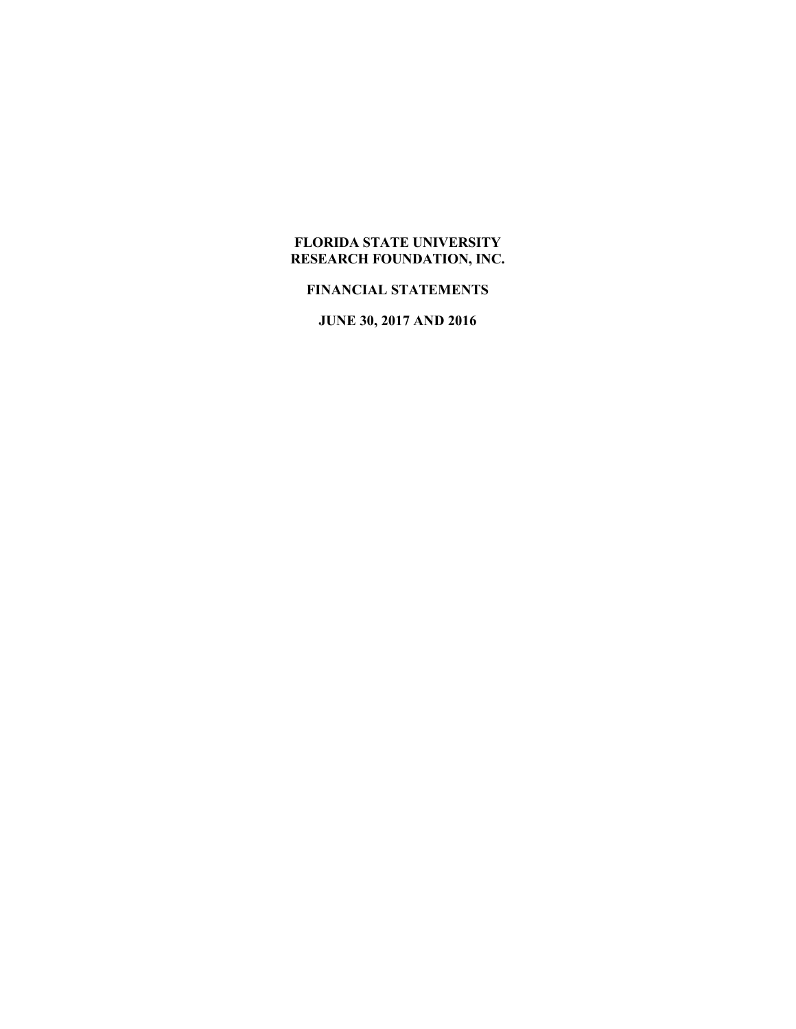# **FLORIDA STATE UNIVERSITY RESEARCH FOUNDATION, INC.**

# **FINANCIAL STATEMENTS**

**JUNE 30, 2017 AND 2016**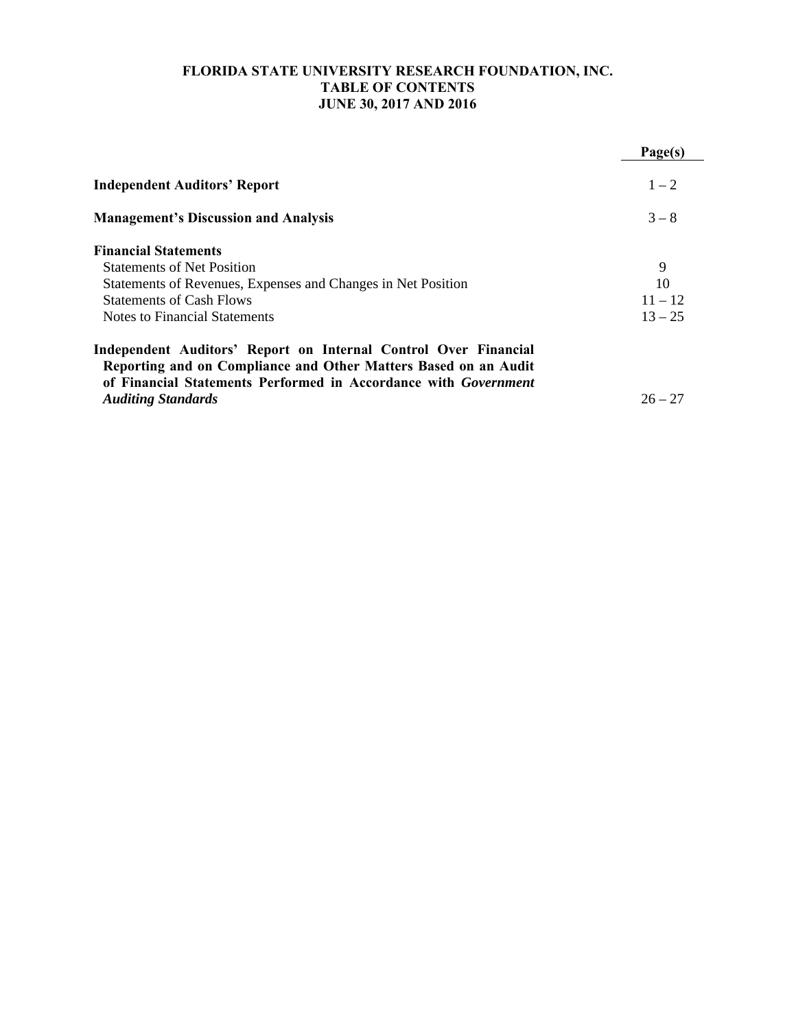# **FLORIDA STATE UNIVERSITY RESEARCH FOUNDATION, INC. TABLE OF CONTENTS JUNE 30, 2017 AND 2016**

|                                                                                                                                                                                                              | Page(s)   |
|--------------------------------------------------------------------------------------------------------------------------------------------------------------------------------------------------------------|-----------|
| <b>Independent Auditors' Report</b>                                                                                                                                                                          | $1 - 2$   |
| <b>Management's Discussion and Analysis</b>                                                                                                                                                                  | $3 - 8$   |
| <b>Financial Statements</b>                                                                                                                                                                                  |           |
| <b>Statements of Net Position</b>                                                                                                                                                                            | 9         |
| Statements of Revenues, Expenses and Changes in Net Position                                                                                                                                                 | 10        |
| <b>Statements of Cash Flows</b>                                                                                                                                                                              | $11 - 12$ |
| Notes to Financial Statements                                                                                                                                                                                | $13 - 25$ |
| Independent Auditors' Report on Internal Control Over Financial<br>Reporting and on Compliance and Other Matters Based on an Audit<br>of Financial Statements Performed in Accordance with <i>Government</i> |           |
| <b>Auditing Standards</b>                                                                                                                                                                                    | $26 - 27$ |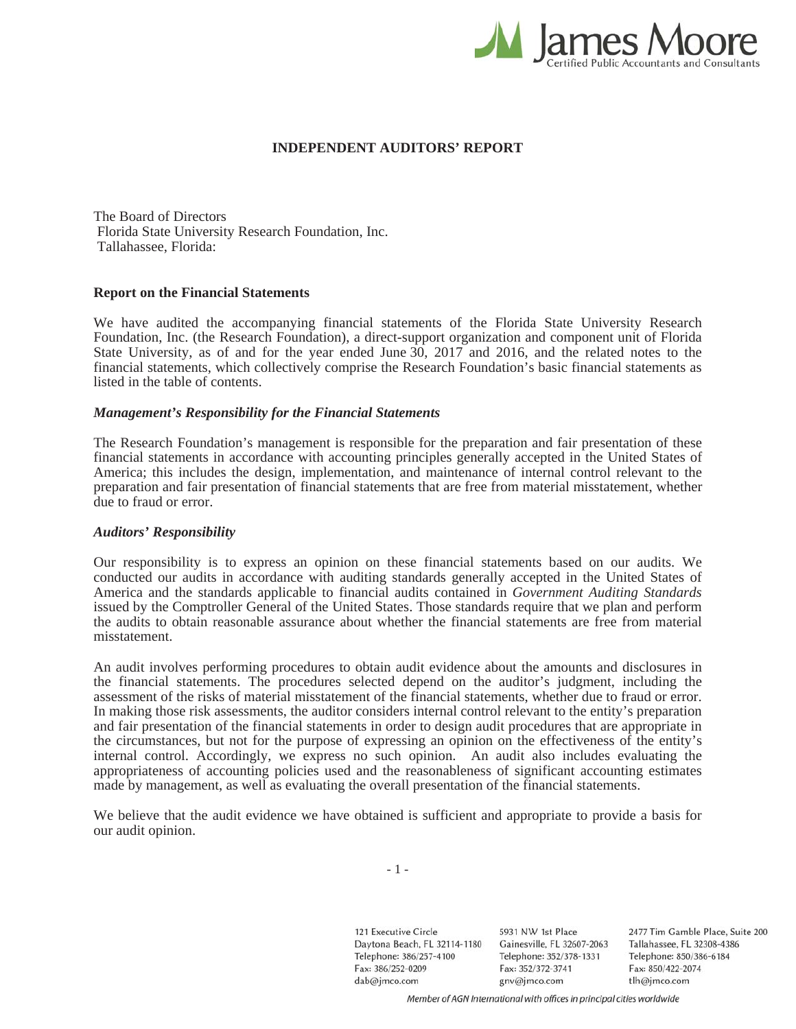

#### **INDEPENDENT AUDITORS' REPORT**

The Board of Directors Florida State University Research Foundation, Inc. Tallahassee, Florida:

#### **Report on the Financial Statements**

We have audited the accompanying financial statements of the Florida State University Research Foundation, Inc. (the Research Foundation), a direct-support organization and component unit of Florida State University, as of and for the year ended June  $30$ ,  $2017$  and  $2016$ , and the related notes to the financial statements, which collectively comprise the Research Foundation's basic financial statements as listed in the table of contents.

#### *Management's Responsibility for the Financial Statements*

The Research Foundation's management is responsible for the preparation and fair presentation of these financial statements in accordance with accounting principles generally accepted in the United States of America; this includes the design, implementation, and maintenance of internal control relevant to the preparation and fair presentation of financial statements that are free from material misstatement, whether due to fraud or error.

# *Auditors' Responsibility*

Our responsibility is to express an opinion on these financial statements based on our audits. We conducted our audits in accordance with auditing standards generally accepted in the United States of America and the standards applicable to financial audits contained in *Government Auditing Standards* issued by the Comptroller General of the United States. Those standards require that we plan and perform the audits to obtain reasonable assurance about whether the financial statements are free from material misstatement.

An audit involves performing procedures to obtain audit evidence about the amounts and disclosures in the financial statements. The procedures selected depend on the auditor's judgment, including the assessment of the risks of material misstatement of the financial statements, whether due to fraud or error. In making those risk assessments, the auditor considers internal control relevant to the entity's preparation and fair presentation of the financial statements in order to design audit procedures that are appropriate in the circumstances, but not for the purpose of expressing an opinion on the effectiveness of the entity's internal control. Accordingly, we express no such opinion. An audit also includes evaluating the appropriateness of accounting policies used and the reasonableness of significant accounting estimates made by management, as well as evaluating the overall presentation of the financial statements.

We believe that the audit evidence we have obtained is sufficient and appropriate to provide a basis for our audit opinion.

- 1 -

121 Executive Circle Daytona Beach, FL 32114-1180 Telephone: 386/257-4100 Fax: 386/252-0209 dab@jmco.com

5931 NW 1st Place Gainesville, FL 32607-2063 Telephone: 352/378-1331 Fax: 352/372-3741 gnv@jmco.com

2477 Tim Gamble Place Suite 200 Tallahassee, FL 32308-4386 Telephone: 850/386-6184 Fax: 850/422-2074 tlh@jmco.com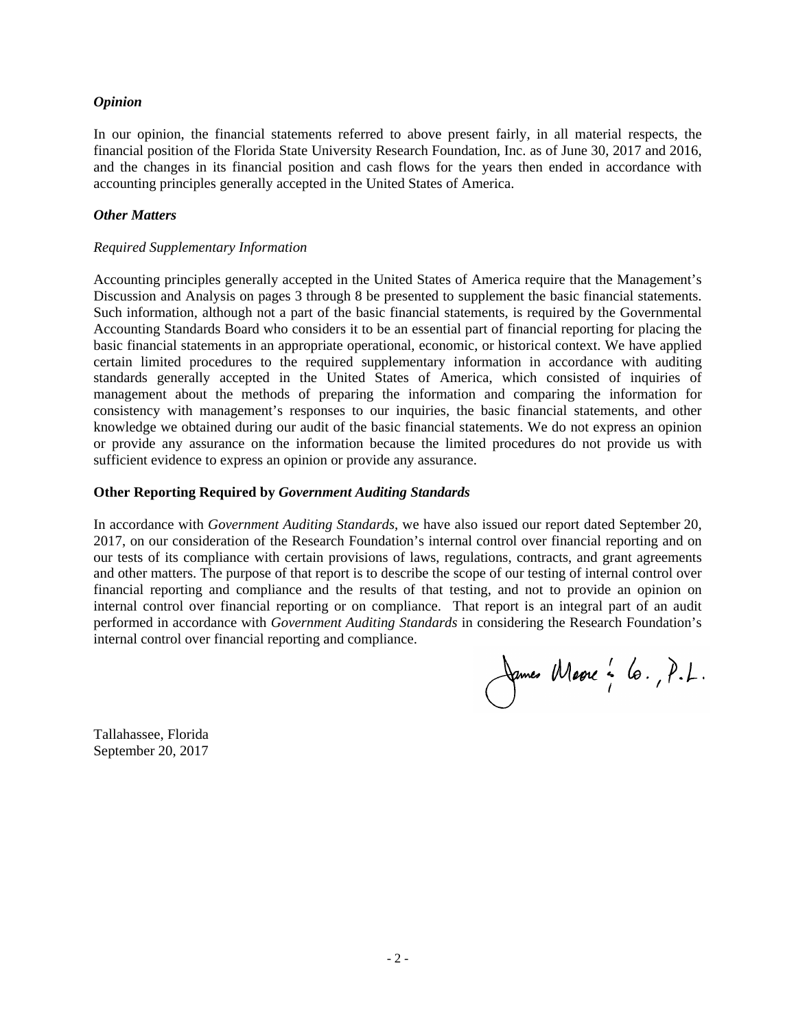#### *Opinion*

In our opinion, the financial statements referred to above present fairly, in all material respects, the financial position of the Florida State University Research Foundation, Inc. as of June 30, 2017 and 2016, and the changes in its financial position and cash flows for the years then ended in accordance with accounting principles generally accepted in the United States of America.

#### *Other Matters*

### *Required Supplementary Information*

Accounting principles generally accepted in the United States of America require that the Management's Discussion and Analysis on pages 3 through 8 be presented to supplement the basic financial statements. Such information, although not a part of the basic financial statements, is required by the Governmental Accounting Standards Board who considers it to be an essential part of financial reporting for placing the basic financial statements in an appropriate operational, economic, or historical context. We have applied certain limited procedures to the required supplementary information in accordance with auditing standards generally accepted in the United States of America, which consisted of inquiries of management about the methods of preparing the information and comparing the information for consistency with management's responses to our inquiries, the basic financial statements, and other knowledge we obtained during our audit of the basic financial statements. We do not express an opinion or provide any assurance on the information because the limited procedures do not provide us with sufficient evidence to express an opinion or provide any assurance.

# **Other Reporting Required by** *Government Auditing Standards*

In accordance with *Government Auditing Standards*, we have also issued our report dated September 20, 2017, on our consideration of the Research Foundation's internal control over financial reporting and on our tests of its compliance with certain provisions of laws, regulations, contracts, and grant agreements and other matters. The purpose of that report is to describe the scope of our testing of internal control over financial reporting and compliance and the results of that testing, and not to provide an opinion on internal control over financial reporting or on compliance. That report is an integral part of an audit performed in accordance with *Government Auditing Standards* in considering the Research Foundation's internal control over financial reporting and compliance.

James Messe : 6., P.L.

Tallahassee, Florida September 20, 2017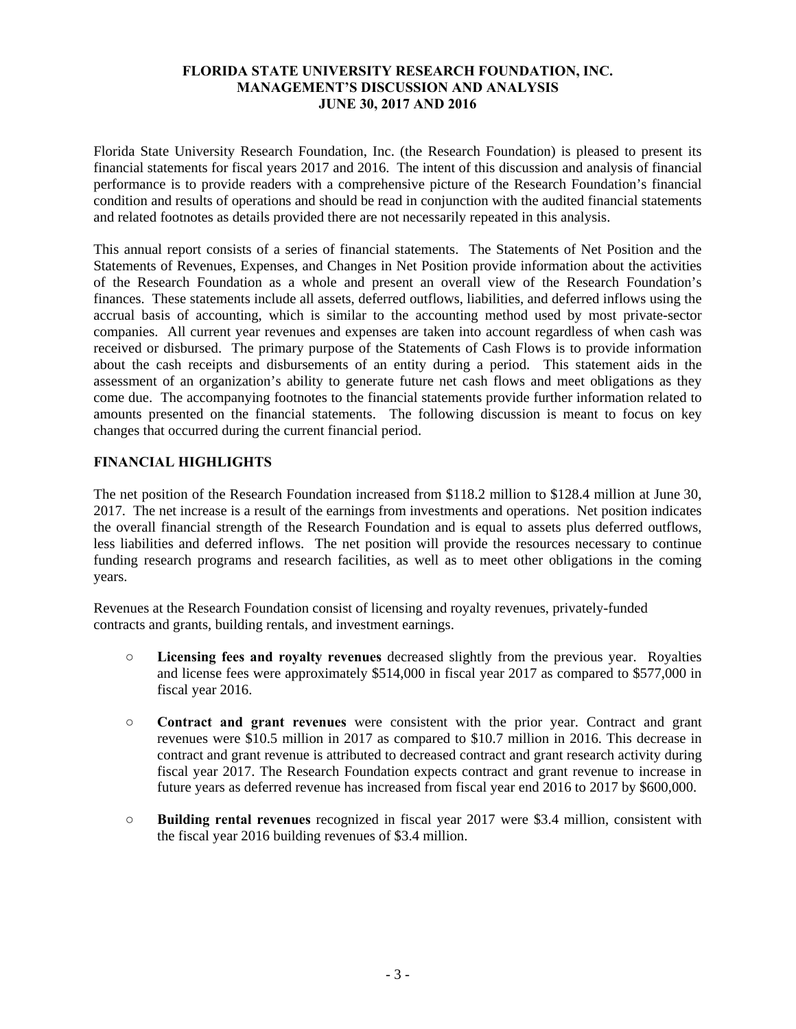Florida State University Research Foundation, Inc. (the Research Foundation) is pleased to present its financial statements for fiscal years 2017 and 2016. The intent of this discussion and analysis of financial performance is to provide readers with a comprehensive picture of the Research Foundation's financial condition and results of operations and should be read in conjunction with the audited financial statements and related footnotes as details provided there are not necessarily repeated in this analysis.

This annual report consists of a series of financial statements. The Statements of Net Position and the Statements of Revenues, Expenses, and Changes in Net Position provide information about the activities of the Research Foundation as a whole and present an overall view of the Research Foundation's finances. These statements include all assets, deferred outflows, liabilities, and deferred inflows using the accrual basis of accounting, which is similar to the accounting method used by most private-sector companies. All current year revenues and expenses are taken into account regardless of when cash was received or disbursed. The primary purpose of the Statements of Cash Flows is to provide information about the cash receipts and disbursements of an entity during a period. This statement aids in the assessment of an organization's ability to generate future net cash flows and meet obligations as they come due. The accompanying footnotes to the financial statements provide further information related to amounts presented on the financial statements. The following discussion is meant to focus on key changes that occurred during the current financial period.

# **FINANCIAL HIGHLIGHTS**

The net position of the Research Foundation increased from \$118.2 million to \$128.4 million at June 30, 2017. The net increase is a result of the earnings from investments and operations. Net position indicates the overall financial strength of the Research Foundation and is equal to assets plus deferred outflows, less liabilities and deferred inflows. The net position will provide the resources necessary to continue funding research programs and research facilities, as well as to meet other obligations in the coming years.

Revenues at the Research Foundation consist of licensing and royalty revenues, privately-funded contracts and grants, building rentals, and investment earnings.

- **○ Licensing fees and royalty revenues** decreased slightly from the previous year. Royalties and license fees were approximately \$514,000 in fiscal year 2017 as compared to \$577,000 in fiscal year 2016.
- **○ Contract and grant revenues** were consistent with the prior year. Contract and grant revenues were \$10.5 million in 2017 as compared to \$10.7 million in 2016. This decrease in contract and grant revenue is attributed to decreased contract and grant research activity during fiscal year 2017. The Research Foundation expects contract and grant revenue to increase in future years as deferred revenue has increased from fiscal year end 2016 to 2017 by \$600,000.
- **○ Building rental revenues** recognized in fiscal year 2017 were \$3.4 million, consistent with the fiscal year 2016 building revenues of \$3.4 million.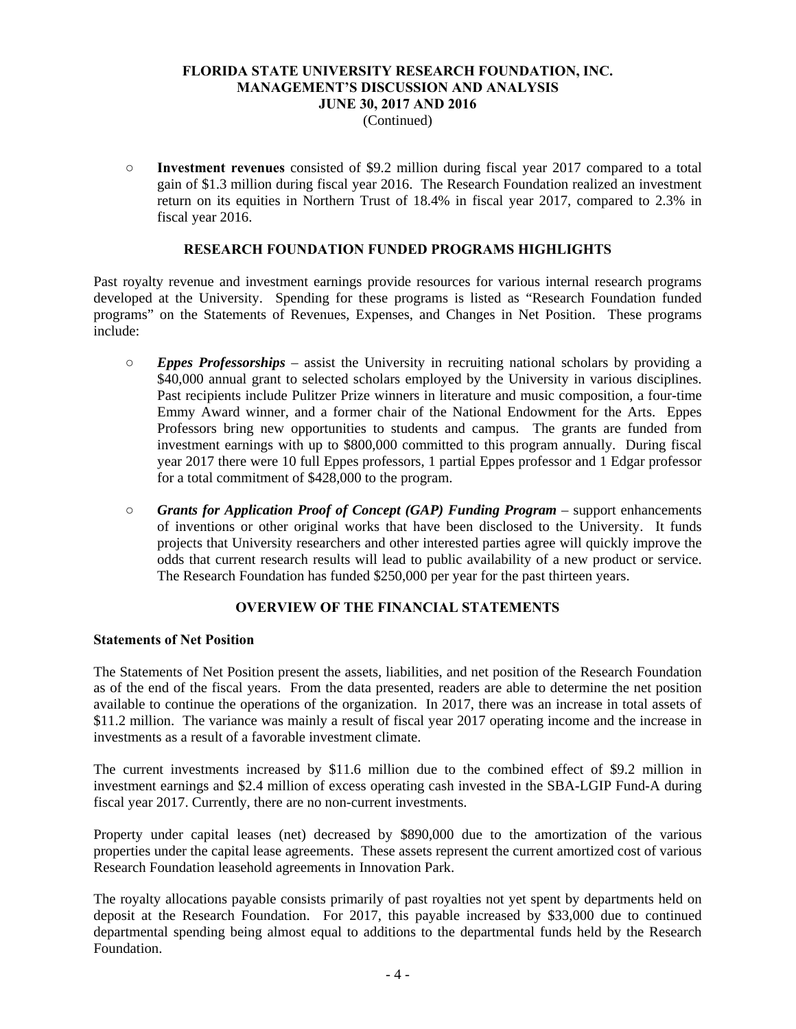**○ Investment revenues** consisted of \$9.2 million during fiscal year 2017 compared to a total gain of \$1.3 million during fiscal year 2016. The Research Foundation realized an investment return on its equities in Northern Trust of 18.4% in fiscal year 2017, compared to 2.3% in fiscal year 2016.

# **RESEARCH FOUNDATION FUNDED PROGRAMS HIGHLIGHTS**

Past royalty revenue and investment earnings provide resources for various internal research programs developed at the University. Spending for these programs is listed as "Research Foundation funded programs" on the Statements of Revenues, Expenses, and Changes in Net Position. These programs include:

- **○** *Eppes Professorships* assist the University in recruiting national scholars by providing a \$40,000 annual grant to selected scholars employed by the University in various disciplines. Past recipients include Pulitzer Prize winners in literature and music composition, a four-time Emmy Award winner, and a former chair of the National Endowment for the Arts. Eppes Professors bring new opportunities to students and campus. The grants are funded from investment earnings with up to \$800,000 committed to this program annually. During fiscal year 2017 there were 10 full Eppes professors, 1 partial Eppes professor and 1 Edgar professor for a total commitment of \$428,000 to the program.
- *Grants for Application Proof of Concept (GAP) Funding Program* support enhancements of inventions or other original works that have been disclosed to the University. It funds projects that University researchers and other interested parties agree will quickly improve the odds that current research results will lead to public availability of a new product or service. The Research Foundation has funded \$250,000 per year for the past thirteen years.

# **OVERVIEW OF THE FINANCIAL STATEMENTS**

#### **Statements of Net Position**

The Statements of Net Position present the assets, liabilities, and net position of the Research Foundation as of the end of the fiscal years. From the data presented, readers are able to determine the net position available to continue the operations of the organization. In 2017, there was an increase in total assets of \$11.2 million. The variance was mainly a result of fiscal year 2017 operating income and the increase in investments as a result of a favorable investment climate.

The current investments increased by \$11.6 million due to the combined effect of \$9.2 million in investment earnings and \$2.4 million of excess operating cash invested in the SBA-LGIP Fund-A during fiscal year 2017. Currently, there are no non-current investments.

Property under capital leases (net) decreased by \$890,000 due to the amortization of the various properties under the capital lease agreements. These assets represent the current amortized cost of various Research Foundation leasehold agreements in Innovation Park.

The royalty allocations payable consists primarily of past royalties not yet spent by departments held on deposit at the Research Foundation. For 2017, this payable increased by \$33,000 due to continued departmental spending being almost equal to additions to the departmental funds held by the Research Foundation.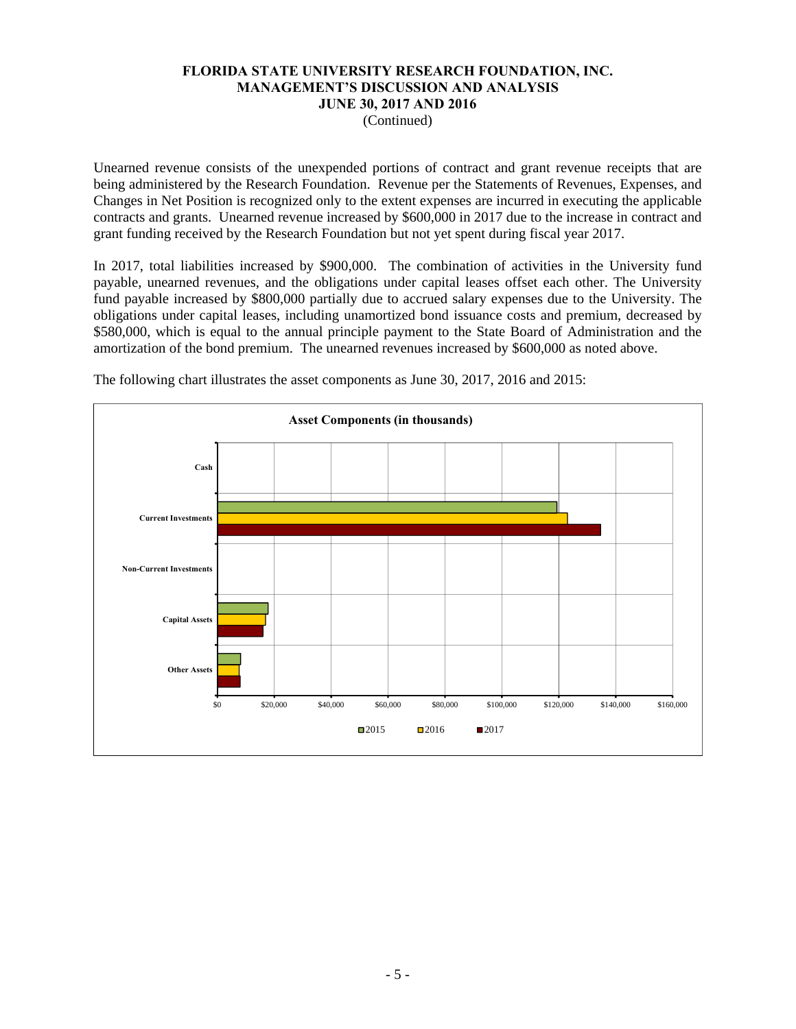Unearned revenue consists of the unexpended portions of contract and grant revenue receipts that are being administered by the Research Foundation. Revenue per the Statements of Revenues, Expenses, and Changes in Net Position is recognized only to the extent expenses are incurred in executing the applicable contracts and grants. Unearned revenue increased by \$600,000 in 2017 due to the increase in contract and grant funding received by the Research Foundation but not yet spent during fiscal year 2017.

In 2017, total liabilities increased by \$900,000. The combination of activities in the University fund payable, unearned revenues, and the obligations under capital leases offset each other. The University fund payable increased by \$800,000 partially due to accrued salary expenses due to the University. The obligations under capital leases, including unamortized bond issuance costs and premium, decreased by \$580,000, which is equal to the annual principle payment to the State Board of Administration and the amortization of the bond premium. The unearned revenues increased by \$600,000 as noted above.



The following chart illustrates the asset components as June 30, 2017, 2016 and 2015: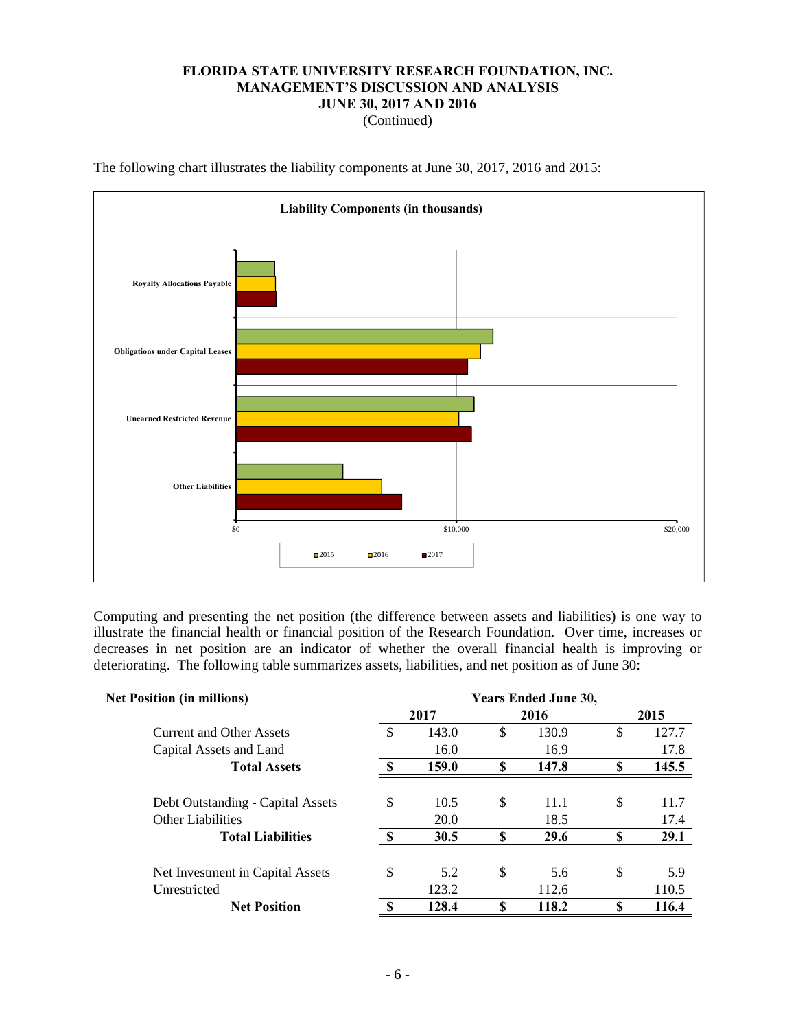![](_page_7_Figure_1.jpeg)

The following chart illustrates the liability components at June 30, 2017, 2016 and 2015:

Computing and presenting the net position (the difference between assets and liabilities) is one way to illustrate the financial health or financial position of the Research Foundation. Over time, increases or decreases in net position are an indicator of whether the overall financial health is improving or deteriorating. The following table summarizes assets, liabilities, and net position as of June 30:

| <b>Net Position (in millions)</b> |    |       | <b>Years Ended June 30,</b> |       |    |       |
|-----------------------------------|----|-------|-----------------------------|-------|----|-------|
|                                   |    | 2017  |                             | 2016  |    | 2015  |
| <b>Current and Other Assets</b>   | S  | 143.0 | \$                          | 130.9 | \$ | 127.7 |
| Capital Assets and Land           |    | 16.0  |                             | 16.9  |    | 17.8  |
| <b>Total Assets</b>               |    | 159.0 | S                           | 147.8 |    | 145.5 |
| Debt Outstanding - Capital Assets | \$ | 10.5  | \$                          | 11.1  | \$ | 11.7  |
| Other Liabilities                 |    | 20.0  |                             | 18.5  |    | 17.4  |
| <b>Total Liabilities</b>          |    | 30.5  | \$                          | 29.6  | ¢  | 29.1  |
| Net Investment in Capital Assets  | \$ | 5.2   | \$                          | 5.6   | \$ | 5.9   |
| Unrestricted                      |    | 123.2 |                             | 112.6 |    | 110.5 |
| <b>Net Position</b>               |    | 128.4 | S                           | 118.2 | \$ | 116.4 |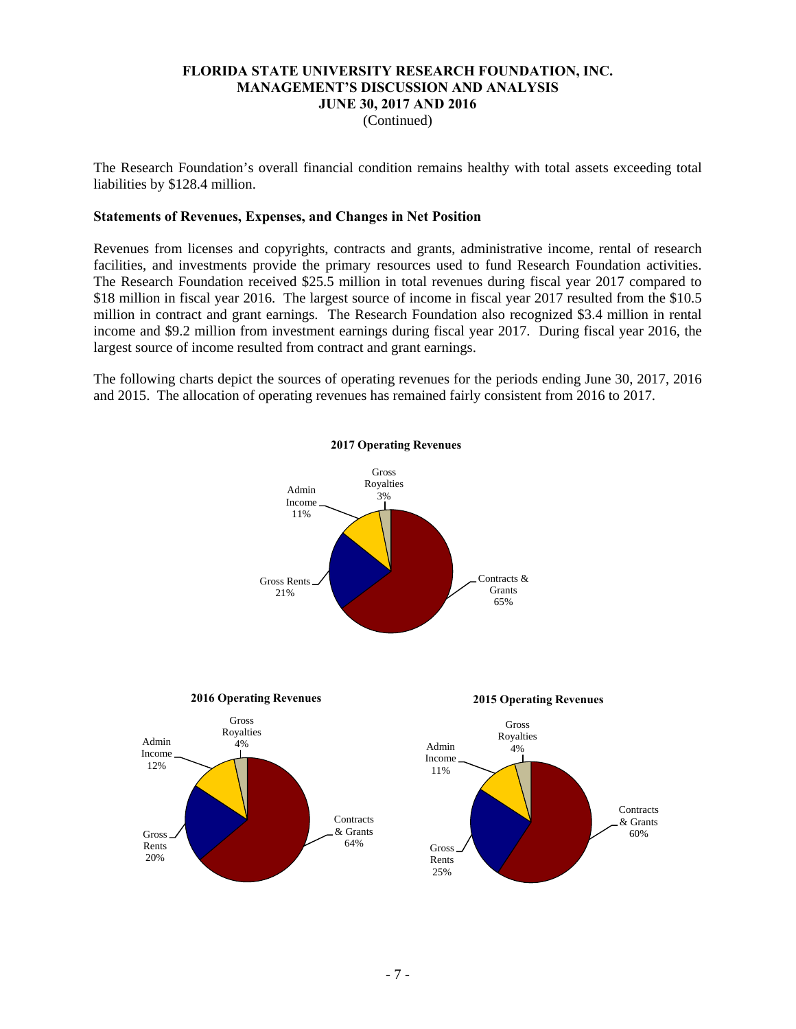The Research Foundation's overall financial condition remains healthy with total assets exceeding total liabilities by \$128.4 million.

#### **Statements of Revenues, Expenses, and Changes in Net Position**

Revenues from licenses and copyrights, contracts and grants, administrative income, rental of research facilities, and investments provide the primary resources used to fund Research Foundation activities. The Research Foundation received \$25.5 million in total revenues during fiscal year 2017 compared to \$18 million in fiscal year 2016. The largest source of income in fiscal year 2017 resulted from the \$10.5 million in contract and grant earnings. The Research Foundation also recognized \$3.4 million in rental income and \$9.2 million from investment earnings during fiscal year 2017. During fiscal year 2016, the largest source of income resulted from contract and grant earnings.

The following charts depict the sources of operating revenues for the periods ending June 30, 2017, 2016 and 2015. The allocation of operating revenues has remained fairly consistent from 2016 to 2017.

![](_page_8_Figure_5.jpeg)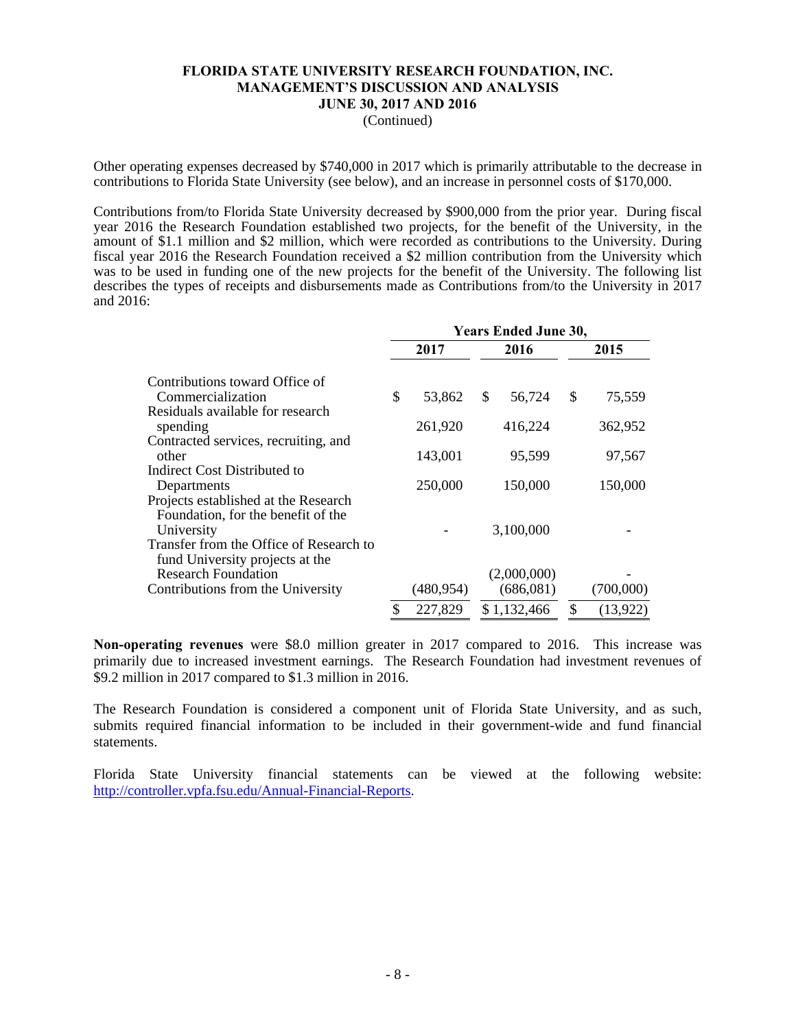(Continued)

Other operating expenses decreased by \$740,000 in 2017 which is primarily attributable to the decrease in contributions to Florida State University (see below), and an increase in personnel costs of \$170,000.

Contributions from/to Florida State University decreased by \$900,000 from the prior year. During fiscal year 2016 the Research Foundation established two projects, for the benefit of the University, in the amount of \$1.1 million and \$2 million, which were recorded as contributions to the University. During fiscal year 2016 the Research Foundation received a \$2 million contribution from the University which was to be used in funding one of the new projects for the benefit of the University. The following list describes the types of receipts and disbursements made as Contributions from/to the University in 2017 and 2016:

|                                                                                          | <b>Years Ended June 30,</b> |    |             |    |           |
|------------------------------------------------------------------------------------------|-----------------------------|----|-------------|----|-----------|
|                                                                                          | 2017                        |    | 2016        |    | 2015      |
| Contributions toward Office of                                                           |                             |    |             |    |           |
| Commercialization                                                                        | \$<br>53,862                | \$ | 56,724      | \$ | 75,559    |
| Residuals available for research<br>spending                                             | 261,920                     |    | 416,224     |    | 362,952   |
| Contracted services, recruiting, and<br>other                                            | 143,001                     |    | 95,599      |    | 97,567    |
| Indirect Cost Distributed to<br>Departments                                              | 250,000                     |    | 150,000     |    | 150,000   |
| Projects established at the Research<br>Foundation, for the benefit of the<br>University |                             |    | 3,100,000   |    |           |
| Transfer from the Office of Research to<br>fund University projects at the               |                             |    |             |    |           |
| <b>Research Foundation</b>                                                               |                             |    | (2,000,000) |    |           |
| Contributions from the University                                                        | (480, 954)                  |    | (686,081)   |    | (700,000) |
|                                                                                          | \$<br>227,829               |    | \$1,132,466 |    | (13,922)  |

**Non-operating revenues** were \$8.0 million greater in 2017 compared to 2016. This increase was primarily due to increased investment earnings. The Research Foundation had investment revenues of \$9.2 million in 2017 compared to \$1.3 million in 2016.

The Research Foundation is considered a component unit of Florida State University, and as such, submits required financial information to be included in their government-wide and fund financial statements.

Florida State University financial statements can be viewed at the following website: http://controller.vpfa.fsu.edu/Annual-Financial-Reports.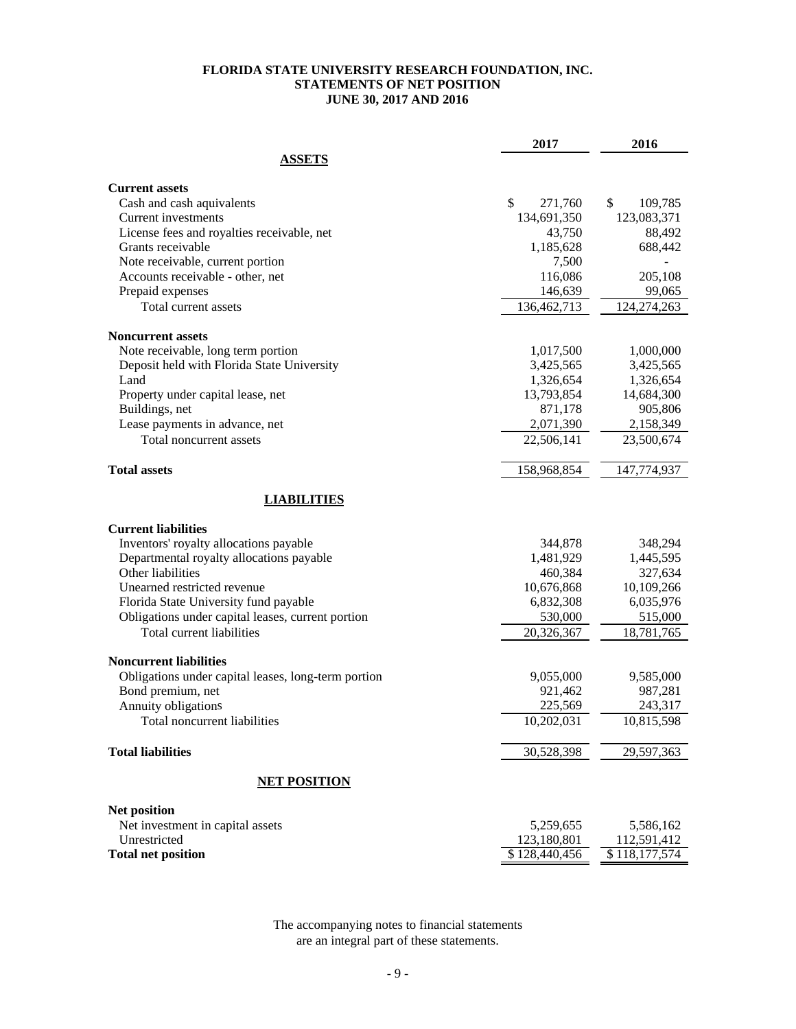#### **FLORIDA STATE UNIVERSITY RESEARCH FOUNDATION, INC. STATEMENTS OF NET POSITION JUNE 30, 2017 AND 2016**

|                                                     | 2017          | 2016          |
|-----------------------------------------------------|---------------|---------------|
| <b>ASSETS</b>                                       |               |               |
| <b>Current assets</b>                               |               |               |
| Cash and cash aquivalents                           | \$<br>271,760 | \$<br>109,785 |
| Current investments                                 | 134,691,350   | 123,083,371   |
| License fees and royalties receivable, net          | 43,750        | 88,492        |
| Grants receivable                                   | 1,185,628     | 688,442       |
| Note receivable, current portion                    | 7,500         |               |
| Accounts receivable - other, net                    | 116,086       | 205,108       |
| Prepaid expenses                                    | 146,639       | 99,065        |
| Total current assets                                | 136,462,713   | 124,274,263   |
| <b>Noncurrent assets</b>                            |               |               |
| Note receivable, long term portion                  | 1,017,500     | 1,000,000     |
| Deposit held with Florida State University          | 3,425,565     | 3,425,565     |
| Land                                                | 1,326,654     | 1,326,654     |
| Property under capital lease, net                   | 13,793,854    | 14,684,300    |
| Buildings, net                                      | 871,178       | 905,806       |
| Lease payments in advance, net                      | 2,071,390     | 2,158,349     |
| Total noncurrent assets                             | 22,506,141    | 23,500,674    |
| <b>Total assets</b>                                 | 158,968,854   | 147,774,937   |
| <b>LIABILITIES</b>                                  |               |               |
| <b>Current liabilities</b>                          |               |               |
| Inventors' royalty allocations payable              | 344,878       | 348,294       |
| Departmental royalty allocations payable            | 1,481,929     | 1,445,595     |
| Other liabilities                                   | 460,384       | 327,634       |
| Unearned restricted revenue                         | 10,676,868    | 10,109,266    |
| Florida State University fund payable               | 6,832,308     | 6,035,976     |
| Obligations under capital leases, current portion   | 530,000       | 515,000       |
| Total current liabilities                           | 20,326,367    | 18,781,765    |
| <b>Noncurrent liabilities</b>                       |               |               |
| Obligations under capital leases, long-term portion | 9,055,000     | 9,585,000     |
|                                                     | 921,462       | 987,281       |
| Bond premium, net<br>Annuity obligations            | 225,569       | 243,317       |
| Total noncurrent liabilities                        | 10,202,031    | 10,815,598    |
|                                                     |               |               |
| <b>Total liabilities</b>                            | 30,528,398    | 29,597,363    |
| <b>NET POSITION</b>                                 |               |               |
| <b>Net position</b>                                 |               |               |
| Net investment in capital assets                    | 5,259,655     | 5,586,162     |
| Unrestricted                                        | 123,180,801   | 112,591,412   |
| <b>Total net position</b>                           | \$128,440,456 | \$118,177,574 |

The accompanying notes to financial statements are an integral part of these statements.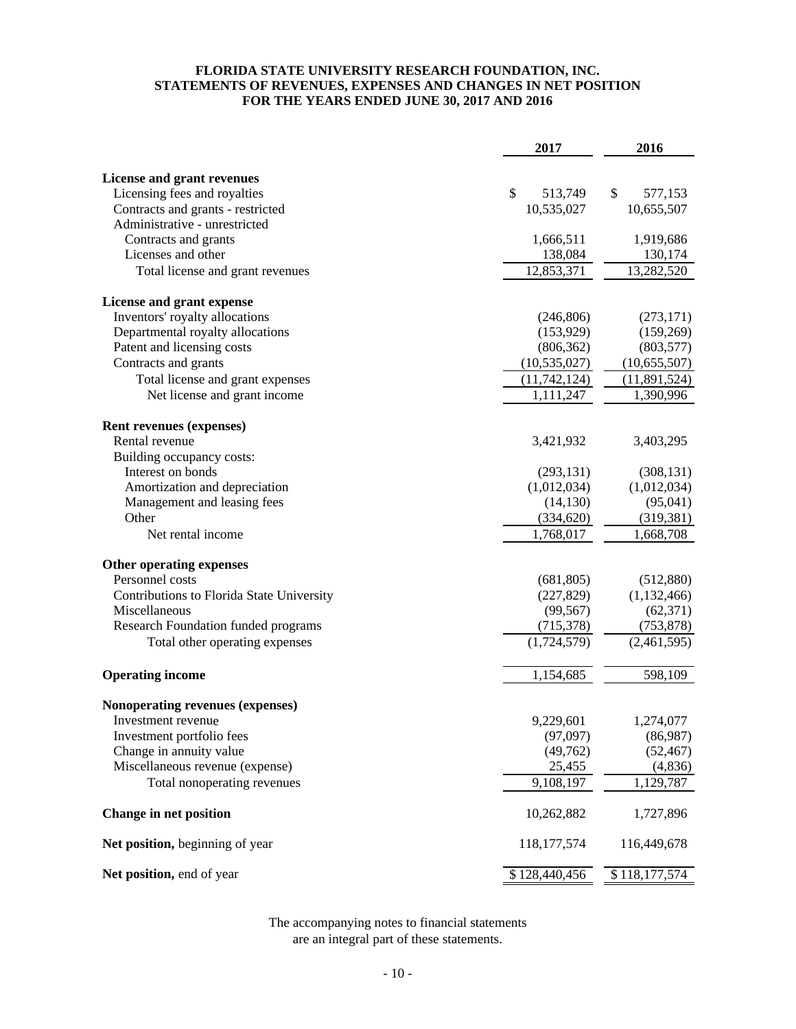#### **FLORIDA STATE UNIVERSITY RESEARCH FOUNDATION, INC. STATEMENTS OF REVENUES, EXPENSES AND CHANGES IN NET POSITION FOR THE YEARS ENDED JUNE 30, 2017 AND 2016**

|                                                            | 2017           | 2016           |
|------------------------------------------------------------|----------------|----------------|
|                                                            |                |                |
| License and grant revenues<br>Licensing fees and royalties | \$<br>513,749  | \$<br>577,153  |
| Contracts and grants - restricted                          | 10,535,027     | 10,655,507     |
| Administrative - unrestricted                              |                |                |
| Contracts and grants                                       | 1,666,511      | 1,919,686      |
| Licenses and other                                         | 138,084        | 130,174        |
| Total license and grant revenues                           | 12,853,371     | 13,282,520     |
| License and grant expense                                  |                |                |
| Inventors' royalty allocations                             | (246, 806)     | (273, 171)     |
| Departmental royalty allocations                           | (153,929)      | (159,269)      |
| Patent and licensing costs                                 | (806, 362)     | (803, 577)     |
| Contracts and grants                                       | (10, 535, 027) | (10, 655, 507) |
| Total license and grant expenses                           | (11, 742, 124) | (11,891,524)   |
| Net license and grant income                               | 1,111,247      | 1,390,996      |
|                                                            |                |                |
| Rent revenues (expenses)                                   |                |                |
| Rental revenue                                             | 3,421,932      | 3,403,295      |
| Building occupancy costs:                                  |                |                |
| Interest on bonds                                          | (293, 131)     | (308, 131)     |
| Amortization and depreciation                              | (1,012,034)    | (1,012,034)    |
| Management and leasing fees                                | (14, 130)      | (95,041)       |
| Other                                                      | (334, 620)     | (319, 381)     |
| Net rental income                                          | 1,768,017      | 1,668,708      |
| Other operating expenses                                   |                |                |
| Personnel costs                                            | (681, 805)     | (512,880)      |
| Contributions to Florida State University                  | (227, 829)     | (1,132,466)    |
| Miscellaneous                                              | (99, 567)      | (62, 371)      |
| Research Foundation funded programs                        | (715,378)      | (753, 878)     |
| Total other operating expenses                             | (1,724,579)    | (2,461,595)    |
| <b>Operating income</b>                                    | 1,154,685      | 598,109        |
|                                                            |                |                |
| Nonoperating revenues (expenses)                           |                |                |
| Investment revenue                                         | 9,229,601      | 1,274,077      |
| Investment portfolio fees                                  | (97,097)       | (86,987)       |
| Change in annuity value                                    | (49,762)       | (52, 467)      |
| Miscellaneous revenue (expense)                            | 25,455         | (4,836)        |
| Total nonoperating revenues                                | 9,108,197      | 1,129,787      |
| <b>Change in net position</b>                              | 10,262,882     | 1,727,896      |
| Net position, beginning of year                            | 118, 177, 574  | 116,449,678    |
| Net position, end of year                                  | \$128,440,456  | \$118,177,574  |

The accompanying notes to financial statements are an integral part of these statements.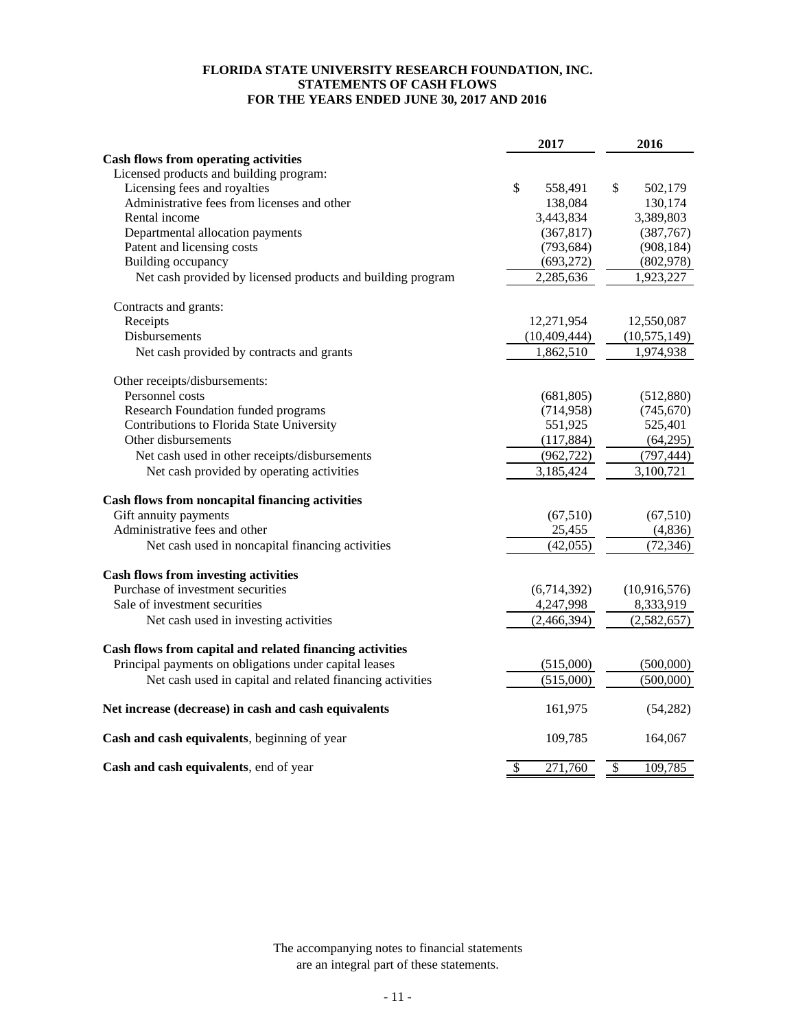#### **FLORIDA STATE UNIVERSITY RESEARCH FOUNDATION, INC. STATEMENTS OF CASH FLOWS FOR THE YEARS ENDED JUNE 30, 2017 AND 2016**

|                                                             | 2017                                | 2016                                |
|-------------------------------------------------------------|-------------------------------------|-------------------------------------|
| <b>Cash flows from operating activities</b>                 |                                     |                                     |
| Licensed products and building program:                     |                                     |                                     |
| Licensing fees and royalties                                | \$<br>558,491                       | \$<br>502,179                       |
| Administrative fees from licenses and other                 | 138,084                             | 130,174                             |
| Rental income                                               | 3,443,834                           | 3,389,803                           |
| Departmental allocation payments                            | (367, 817)                          | (387, 767)                          |
| Patent and licensing costs                                  | (793, 684)                          | (908, 184)                          |
| <b>Building occupancy</b>                                   | (693, 272)                          | (802, 978)                          |
| Net cash provided by licensed products and building program | 2,285,636                           | 1,923,227                           |
| Contracts and grants:                                       |                                     |                                     |
| Receipts                                                    | 12,271,954                          | 12,550,087                          |
| <b>Disbursements</b>                                        | (10, 409, 444)                      | (10, 575, 149)                      |
| Net cash provided by contracts and grants                   | 1,862,510                           | 1,974,938                           |
| Other receipts/disbursements:                               |                                     |                                     |
| Personnel costs                                             | (681, 805)                          | (512,880)                           |
| Research Foundation funded programs                         | (714, 958)                          | (745, 670)                          |
| Contributions to Florida State University                   | 551,925                             | 525,401                             |
| Other disbursements                                         | (117, 884)                          | (64,295)                            |
| Net cash used in other receipts/disbursements               | (962, 722)                          | (797, 444)                          |
| Net cash provided by operating activities                   | 3,185,424                           | 3,100,721                           |
| Cash flows from noncapital financing activities             |                                     |                                     |
| Gift annuity payments                                       | (67,510)                            | (67,510)                            |
| Administrative fees and other                               | 25,455                              | (4, 836)                            |
| Net cash used in noncapital financing activities            | (42,055)                            | (72, 346)                           |
| <b>Cash flows from investing activities</b>                 |                                     |                                     |
| Purchase of investment securities                           | (6,714,392)                         | (10,916,576)                        |
| Sale of investment securities                               | 4,247,998                           | 8,333,919                           |
| Net cash used in investing activities                       | (2,466,394)                         | (2,582,657)                         |
| Cash flows from capital and related financing activities    |                                     |                                     |
| Principal payments on obligations under capital leases      | (515,000)                           | (500,000)                           |
| Net cash used in capital and related financing activities   | (515,000)                           | (500,000)                           |
| Net increase (decrease) in cash and cash equivalents        | 161,975                             | (54,282)                            |
| Cash and cash equivalents, beginning of year                | 109,785                             | 164,067                             |
| Cash and cash equivalents, end of year                      | $\overline{\mathcal{S}}$<br>271,760 | $\overline{\mathcal{S}}$<br>109,785 |

The accompanying notes to financial statements are an integral part of these statements.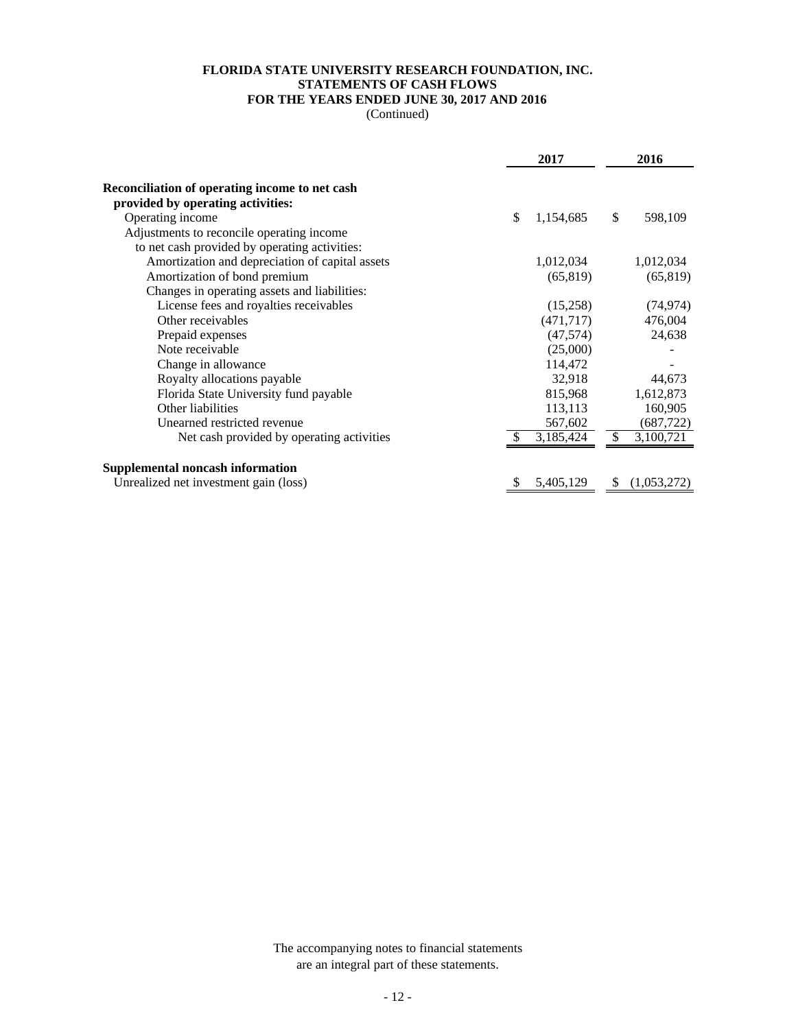#### **FLORIDA STATE UNIVERSITY RESEARCH FOUNDATION, INC. STATEMENTS OF CASH FLOWS FOR THE YEARS ENDED JUNE 30, 2017 AND 2016**

(Continued)

|                                                                                     | 2017 |            | 2016              |  |
|-------------------------------------------------------------------------------------|------|------------|-------------------|--|
| Reconciliation of operating income to net cash<br>provided by operating activities: |      |            |                   |  |
| Operating income                                                                    | \$   | 1,154,685  | \$<br>598,109     |  |
| Adjustments to reconcile operating income                                           |      |            |                   |  |
|                                                                                     |      |            |                   |  |
| to net cash provided by operating activities:                                       |      |            |                   |  |
| Amortization and depreciation of capital assets                                     |      | 1,012,034  | 1,012,034         |  |
| Amortization of bond premium                                                        |      | (65, 819)  | (65, 819)         |  |
| Changes in operating assets and liabilities:                                        |      |            |                   |  |
| License fees and royalties receivables                                              |      | (15,258)   | (74, 974)         |  |
| Other receivables                                                                   |      | (471, 717) | 476,004           |  |
| Prepaid expenses                                                                    |      | (47,574)   | 24,638            |  |
| Note receivable                                                                     |      | (25,000)   |                   |  |
| Change in allowance                                                                 |      | 114,472    |                   |  |
| Royalty allocations payable                                                         |      | 32,918     | 44,673            |  |
| Florida State University fund payable                                               |      | 815,968    | 1,612,873         |  |
| Other liabilities                                                                   |      | 113,113    | 160,905           |  |
| Unearned restricted revenue                                                         |      | 567,602    | (687, 722)        |  |
| Net cash provided by operating activities                                           |      | 3,185,424  | 3,100,721         |  |
|                                                                                     |      |            |                   |  |
| Supplemental noncash information                                                    |      |            |                   |  |
| Unrealized net investment gain (loss)                                               | \$   | 5,405,129  | \$<br>(1,053,272) |  |

The accompanying notes to financial statements are an integral part of these statements.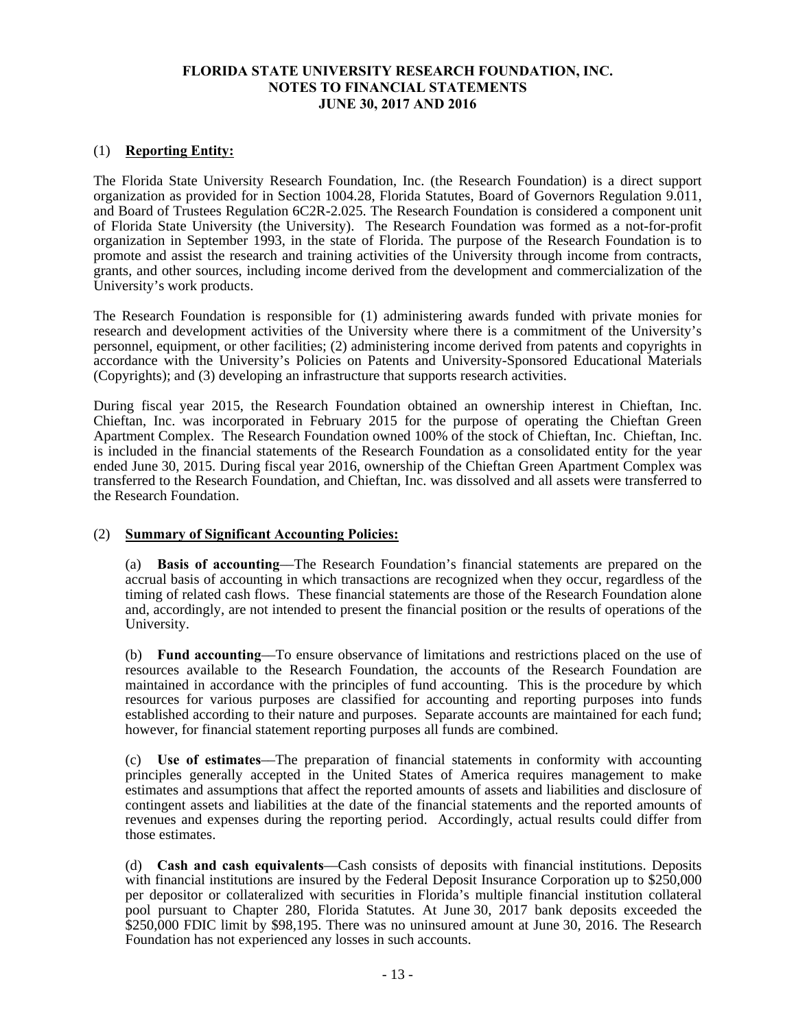# (1) **Reporting Entity:**

The Florida State University Research Foundation, Inc. (the Research Foundation) is a direct support organization as provided for in Section 1004.28, Florida Statutes, Board of Governors Regulation 9.011, and Board of Trustees Regulation 6C2R-2.025. The Research Foundation is considered a component unit of Florida State University (the University). The Research Foundation was formed as a not-for-profit organization in September 1993, in the state of Florida. The purpose of the Research Foundation is to promote and assist the research and training activities of the University through income from contracts, grants, and other sources, including income derived from the development and commercialization of the University's work products.

The Research Foundation is responsible for (1) administering awards funded with private monies for research and development activities of the University where there is a commitment of the University's personnel, equipment, or other facilities; (2) administering income derived from patents and copyrights in accordance with the University's Policies on Patents and University-Sponsored Educational Materials (Copyrights); and (3) developing an infrastructure that supports research activities.

During fiscal year 2015, the Research Foundation obtained an ownership interest in Chieftan, Inc. Chieftan, Inc. was incorporated in February 2015 for the purpose of operating the Chieftan Green Apartment Complex. The Research Foundation owned 100% of the stock of Chieftan, Inc. Chieftan, Inc. is included in the financial statements of the Research Foundation as a consolidated entity for the year ended June 30, 2015. During fiscal year 2016, ownership of the Chieftan Green Apartment Complex was transferred to the Research Foundation, and Chieftan, Inc. was dissolved and all assets were transferred to the Research Foundation.

# (2) **Summary of Significant Accounting Policies:**

(a) **Basis of accounting**––The Research Foundation's financial statements are prepared on the accrual basis of accounting in which transactions are recognized when they occur, regardless of the timing of related cash flows. These financial statements are those of the Research Foundation alone and, accordingly, are not intended to present the financial position or the results of operations of the University.

(b) **Fund accounting**––To ensure observance of limitations and restrictions placed on the use of resources available to the Research Foundation, the accounts of the Research Foundation are maintained in accordance with the principles of fund accounting. This is the procedure by which resources for various purposes are classified for accounting and reporting purposes into funds established according to their nature and purposes. Separate accounts are maintained for each fund; however, for financial statement reporting purposes all funds are combined.

(c) **Use of estimates**––The preparation of financial statements in conformity with accounting principles generally accepted in the United States of America requires management to make estimates and assumptions that affect the reported amounts of assets and liabilities and disclosure of contingent assets and liabilities at the date of the financial statements and the reported amounts of revenues and expenses during the reporting period. Accordingly, actual results could differ from those estimates.

(d) **Cash and cash equivalents**––Cash consists of deposits with financial institutions. Deposits with financial institutions are insured by the Federal Deposit Insurance Corporation up to \$250,000 per depositor or collateralized with securities in Florida's multiple financial institution collateral pool pursuant to Chapter 280, Florida Statutes. At June 30, 2017 bank deposits exceeded the \$250,000 FDIC limit by \$98,195. There was no uninsured amount at June 30, 2016. The Research Foundation has not experienced any losses in such accounts.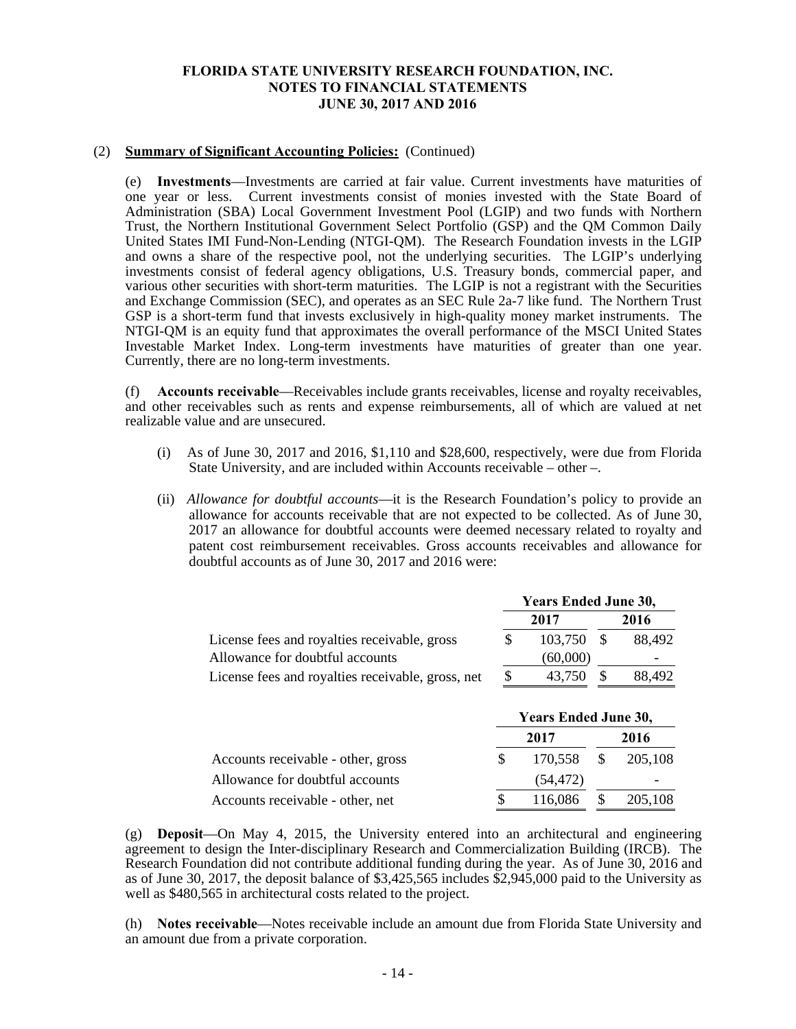#### (2) **Summary of Significant Accounting Policies:** (Continued)

(e) **Investments**––Investments are carried at fair value. Current investments have maturities of one year or less. Current investments consist of monies invested with the State Board of Administration (SBA) Local Government Investment Pool (LGIP) and two funds with Northern Trust, the Northern Institutional Government Select Portfolio (GSP) and the QM Common Daily United States IMI Fund-Non-Lending (NTGI-QM). The Research Foundation invests in the LGIP and owns a share of the respective pool, not the underlying securities. The LGIP's underlying investments consist of federal agency obligations, U.S. Treasury bonds, commercial paper, and various other securities with short-term maturities. The LGIP is not a registrant with the Securities and Exchange Commission (SEC), and operates as an SEC Rule 2a-7 like fund. The Northern Trust GSP is a short-term fund that invests exclusively in high-quality money market instruments. The NTGI-QM is an equity fund that approximates the overall performance of the MSCI United States Investable Market Index. Long-term investments have maturities of greater than one year. Currently, there are no long-term investments.

(f) **Accounts receivable**––Receivables include grants receivables, license and royalty receivables, and other receivables such as rents and expense reimbursements, all of which are valued at net realizable value and are unsecured.

- (i) As of June 30, 2017 and 2016, \$1,110 and \$28,600, respectively, were due from Florida State University, and are included within Accounts receivable – other –.
- (ii) *Allowance for doubtful accounts*––it is the Research Foundation's policy to provide an allowance for accounts receivable that are not expected to be collected. As of June 30, 2017 an allowance for doubtful accounts were deemed necessary related to royalty and patent cost reimbursement receivables. Gross accounts receivables and allowance for doubtful accounts as of June 30, 2017 and 2016 were:

|                                                   | <b>Years Ended June 30,</b> |                             |    |         |
|---------------------------------------------------|-----------------------------|-----------------------------|----|---------|
|                                                   |                             | 2017                        |    | 2016    |
| License fees and royalties receivable, gross      | \$                          | 103,750                     | S  | 88,492  |
| Allowance for doubtful accounts                   |                             | (60,000)                    |    |         |
| License fees and royalties receivable, gross, net | \$                          | 43,750                      | \$ | 88,492  |
|                                                   |                             | <b>Years Ended June 30,</b> |    |         |
|                                                   |                             |                             |    |         |
|                                                   |                             | 2017                        |    | 2016    |
| Accounts receivable - other, gross                | \$                          | 170,558                     | \$ | 205,108 |
| Allowance for doubtful accounts                   |                             | (54, 472)                   |    |         |
| Accounts receivable - other, net                  | \$                          | 116,086                     | S  | 205,108 |

(g) **Deposit**––On May 4, 2015, the University entered into an architectural and engineering agreement to design the Inter-disciplinary Research and Commercialization Building (IRCB). The Research Foundation did not contribute additional funding during the year. As of June 30, 2016 and as of June 30, 2017, the deposit balance of \$3,425,565 includes \$2,945,000 paid to the University as well as \$480,565 in architectural costs related to the project.

(h) **Notes receivable**––Notes receivable include an amount due from Florida State University and an amount due from a private corporation.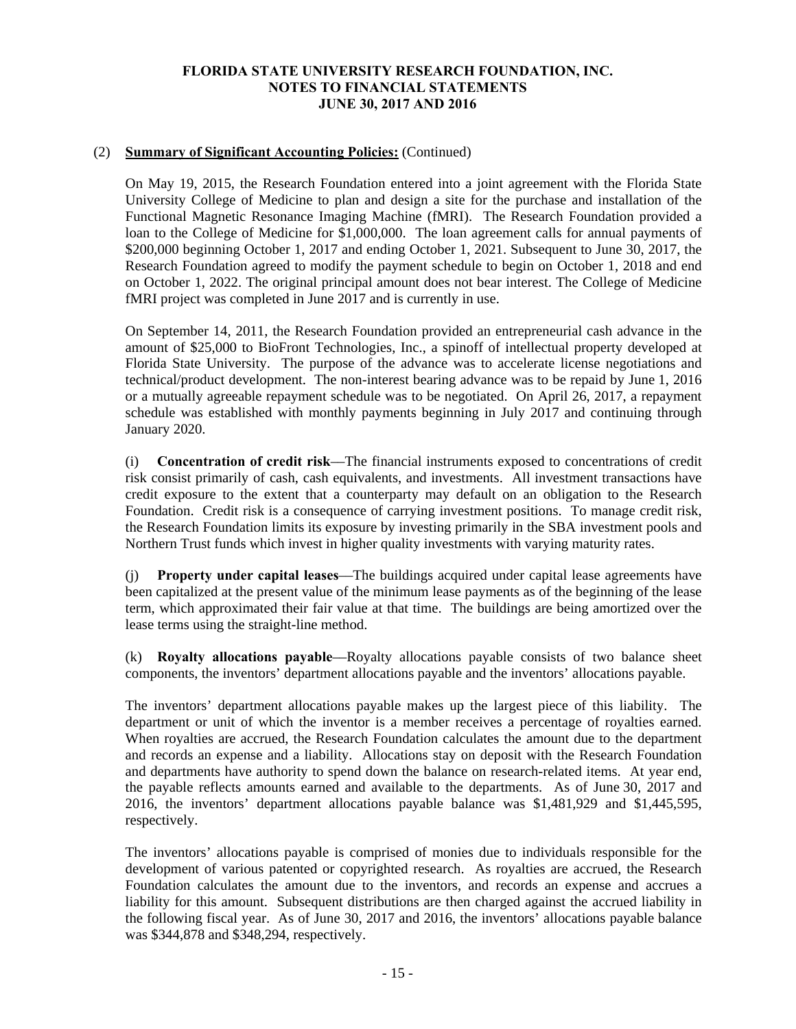# (2) **Summary of Significant Accounting Policies:** (Continued)

On May 19, 2015, the Research Foundation entered into a joint agreement with the Florida State University College of Medicine to plan and design a site for the purchase and installation of the Functional Magnetic Resonance Imaging Machine (fMRI). The Research Foundation provided a loan to the College of Medicine for \$1,000,000. The loan agreement calls for annual payments of \$200,000 beginning October 1, 2017 and ending October 1, 2021. Subsequent to June 30, 2017, the Research Foundation agreed to modify the payment schedule to begin on October 1, 2018 and end on October 1, 2022. The original principal amount does not bear interest. The College of Medicine fMRI project was completed in June 2017 and is currently in use.

On September 14, 2011, the Research Foundation provided an entrepreneurial cash advance in the amount of \$25,000 to BioFront Technologies, Inc., a spinoff of intellectual property developed at Florida State University. The purpose of the advance was to accelerate license negotiations and technical/product development. The non-interest bearing advance was to be repaid by June 1, 2016 or a mutually agreeable repayment schedule was to be negotiated. On April 26, 2017, a repayment schedule was established with monthly payments beginning in July 2017 and continuing through January 2020.

(i) **Concentration of credit risk**––The financial instruments exposed to concentrations of credit risk consist primarily of cash, cash equivalents, and investments. All investment transactions have credit exposure to the extent that a counterparty may default on an obligation to the Research Foundation. Credit risk is a consequence of carrying investment positions. To manage credit risk, the Research Foundation limits its exposure by investing primarily in the SBA investment pools and Northern Trust funds which invest in higher quality investments with varying maturity rates.

(j) **Property under capital leases**––The buildings acquired under capital lease agreements have been capitalized at the present value of the minimum lease payments as of the beginning of the lease term, which approximated their fair value at that time. The buildings are being amortized over the lease terms using the straight-line method.

(k) **Royalty allocations payable**––Royalty allocations payable consists of two balance sheet components, the inventors' department allocations payable and the inventors' allocations payable.

The inventors' department allocations payable makes up the largest piece of this liability. The department or unit of which the inventor is a member receives a percentage of royalties earned. When royalties are accrued, the Research Foundation calculates the amount due to the department and records an expense and a liability. Allocations stay on deposit with the Research Foundation and departments have authority to spend down the balance on research-related items. At year end, the payable reflects amounts earned and available to the departments. As of June 30, 2017 and 2016, the inventors' department allocations payable balance was \$1,481,929 and \$1,445,595, respectively.

The inventors' allocations payable is comprised of monies due to individuals responsible for the development of various patented or copyrighted research. As royalties are accrued, the Research Foundation calculates the amount due to the inventors, and records an expense and accrues a liability for this amount. Subsequent distributions are then charged against the accrued liability in the following fiscal year. As of June 30, 2017 and 2016, the inventors' allocations payable balance was \$344,878 and \$348,294, respectively.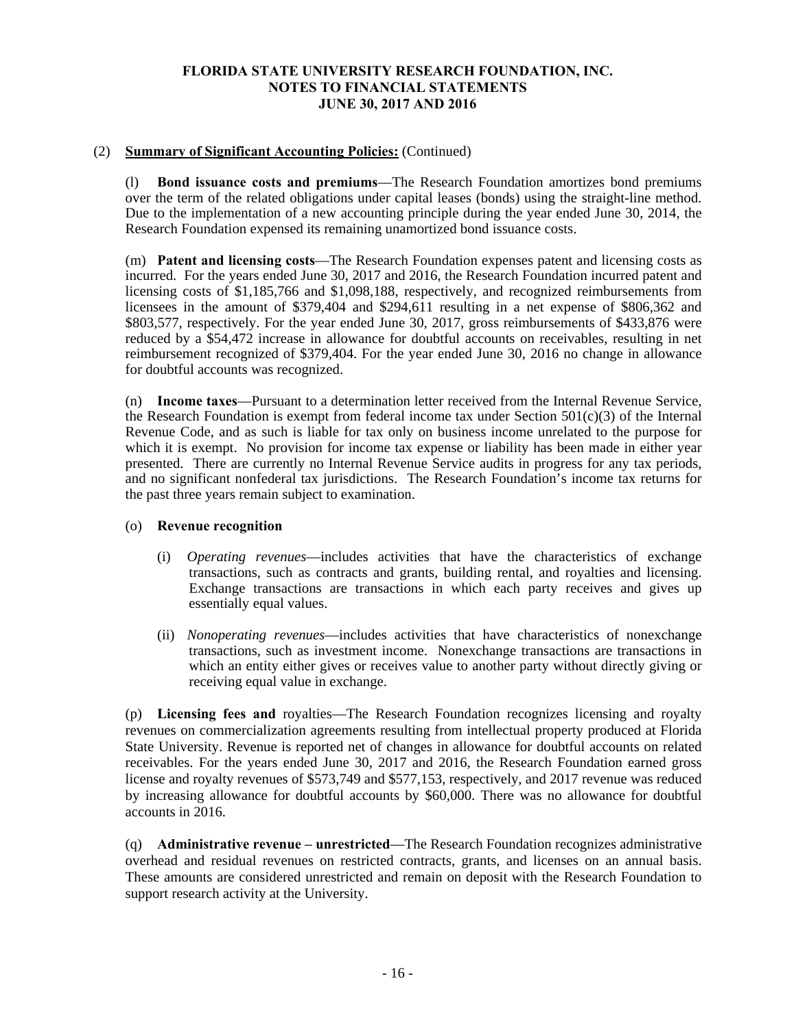# (2) **Summary of Significant Accounting Policies:** (Continued)

(l) **Bond issuance costs and premiums**––The Research Foundation amortizes bond premiums over the term of the related obligations under capital leases (bonds) using the straight-line method. Due to the implementation of a new accounting principle during the year ended June 30, 2014, the Research Foundation expensed its remaining unamortized bond issuance costs.

(m) **Patent and licensing costs**––The Research Foundation expenses patent and licensing costs as incurred. For the years ended June 30, 2017 and 2016, the Research Foundation incurred patent and licensing costs of \$1,185,766 and \$1,098,188, respectively, and recognized reimbursements from licensees in the amount of \$379,404 and \$294,611 resulting in a net expense of \$806,362 and \$803,577, respectively. For the year ended June 30, 2017, gross reimbursements of \$433,876 were reduced by a \$54,472 increase in allowance for doubtful accounts on receivables, resulting in net reimbursement recognized of \$379,404. For the year ended June 30, 2016 no change in allowance for doubtful accounts was recognized.

(n) **Income taxes**––Pursuant to a determination letter received from the Internal Revenue Service, the Research Foundation is exempt from federal income tax under Section  $501(c)(3)$  of the Internal Revenue Code, and as such is liable for tax only on business income unrelated to the purpose for which it is exempt. No provision for income tax expense or liability has been made in either year presented. There are currently no Internal Revenue Service audits in progress for any tax periods, and no significant nonfederal tax jurisdictions. The Research Foundation's income tax returns for the past three years remain subject to examination.

#### (o) **Revenue recognition**

- (i) *Operating revenues*––includes activities that have the characteristics of exchange transactions, such as contracts and grants, building rental, and royalties and licensing. Exchange transactions are transactions in which each party receives and gives up essentially equal values.
- (ii) *Nonoperating revenues*––includes activities that have characteristics of nonexchange transactions, such as investment income. Nonexchange transactions are transactions in which an entity either gives or receives value to another party without directly giving or receiving equal value in exchange.

(p) **Licensing fees and** royalties––The Research Foundation recognizes licensing and royalty revenues on commercialization agreements resulting from intellectual property produced at Florida State University. Revenue is reported net of changes in allowance for doubtful accounts on related receivables. For the years ended June 30, 2017 and 2016, the Research Foundation earned gross license and royalty revenues of \$573,749 and \$577,153, respectively, and 2017 revenue was reduced by increasing allowance for doubtful accounts by \$60,000. There was no allowance for doubtful accounts in 2016.

(q) **Administrative revenue – unrestricted**––The Research Foundation recognizes administrative overhead and residual revenues on restricted contracts, grants, and licenses on an annual basis. These amounts are considered unrestricted and remain on deposit with the Research Foundation to support research activity at the University.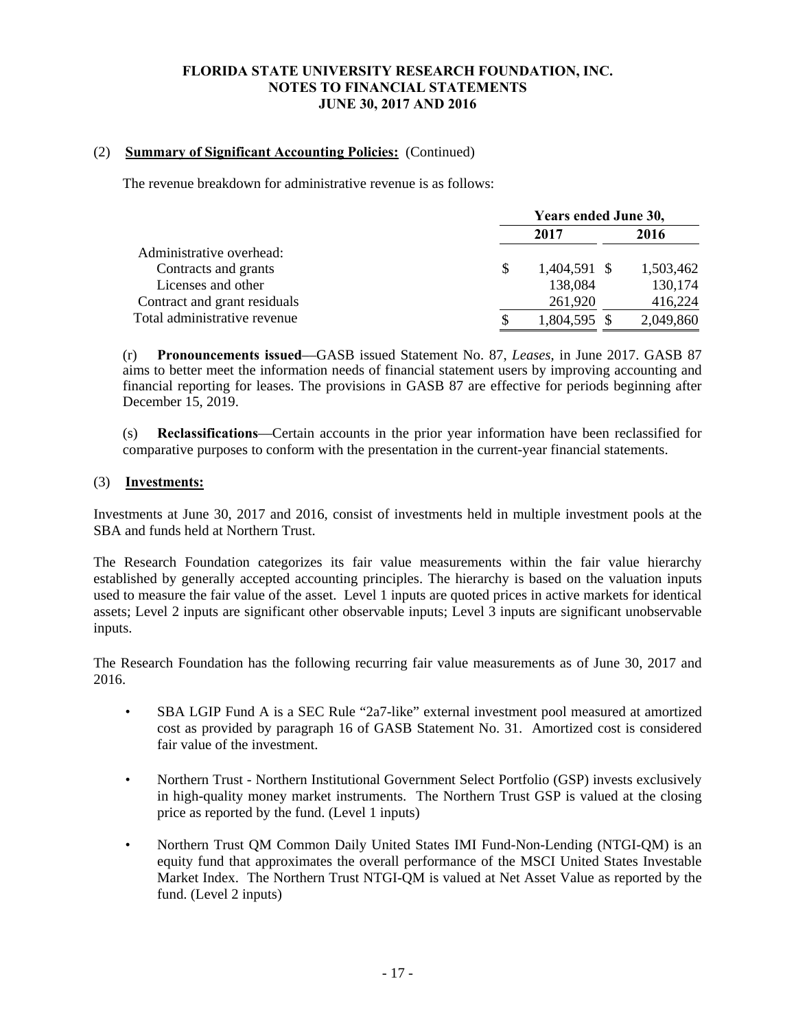# (2) **Summary of Significant Accounting Policies:** (Continued)

The revenue breakdown for administrative revenue is as follows:

|                              | <b>Years ended June 30,</b> |              |  |           |
|------------------------------|-----------------------------|--------------|--|-----------|
|                              |                             | 2017         |  | 2016      |
| Administrative overhead:     |                             |              |  |           |
| Contracts and grants         |                             | 1,404,591 \$ |  | 1,503,462 |
| Licenses and other           |                             | 138,084      |  | 130,174   |
| Contract and grant residuals |                             | 261,920      |  | 416,224   |
| Total administrative revenue |                             | 1,804,595 \$ |  | 2,049,860 |

(r) **Pronouncements issued**––GASB issued Statement No. 87, *Leases*, in June 2017. GASB 87 aims to better meet the information needs of financial statement users by improving accounting and financial reporting for leases. The provisions in GASB 87 are effective for periods beginning after December 15, 2019.

(s) **Reclassifications**––Certain accounts in the prior year information have been reclassified for comparative purposes to conform with the presentation in the current-year financial statements.

# (3) **Investments:**

Investments at June 30, 2017 and 2016, consist of investments held in multiple investment pools at the SBA and funds held at Northern Trust.

The Research Foundation categorizes its fair value measurements within the fair value hierarchy established by generally accepted accounting principles. The hierarchy is based on the valuation inputs used to measure the fair value of the asset. Level 1 inputs are quoted prices in active markets for identical assets; Level 2 inputs are significant other observable inputs; Level 3 inputs are significant unobservable inputs.

The Research Foundation has the following recurring fair value measurements as of June 30, 2017 and 2016.

- SBA LGIP Fund A is a SEC Rule "2a7-like" external investment pool measured at amortized cost as provided by paragraph 16 of GASB Statement No. 31. Amortized cost is considered fair value of the investment.
- Northern Trust Northern Institutional Government Select Portfolio (GSP) invests exclusively in high-quality money market instruments. The Northern Trust GSP is valued at the closing price as reported by the fund. (Level 1 inputs)
- Northern Trust QM Common Daily United States IMI Fund-Non-Lending (NTGI-QM) is an equity fund that approximates the overall performance of the MSCI United States Investable Market Index. The Northern Trust NTGI-QM is valued at Net Asset Value as reported by the fund. (Level 2 inputs)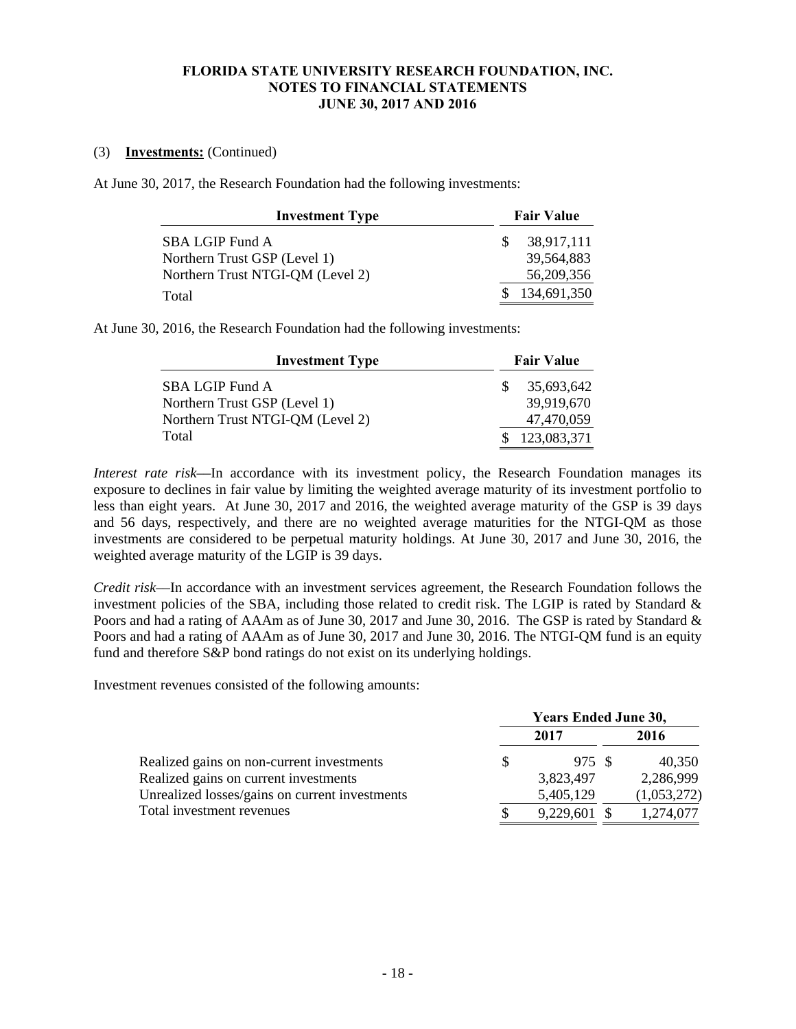# (3) **Investments:** (Continued)

At June 30, 2017, the Research Foundation had the following investments:

| <b>Investment Type</b>           |  | <b>Fair Value</b> |  |  |  |
|----------------------------------|--|-------------------|--|--|--|
| SBA LGIP Fund A                  |  | 38,917,111        |  |  |  |
| Northern Trust GSP (Level 1)     |  | 39,564,883        |  |  |  |
| Northern Trust NTGI-QM (Level 2) |  | 56,209,356        |  |  |  |
| Total                            |  | 134,691,350       |  |  |  |

At June 30, 2016, the Research Foundation had the following investments:

| <b>Investment Type</b>           |               | <b>Fair Value</b> |  |  |  |
|----------------------------------|---------------|-------------------|--|--|--|
| SBA LGIP Fund A                  | $\mathcal{S}$ | 35.693.642        |  |  |  |
| Northern Trust GSP (Level 1)     |               | 39,919,670        |  |  |  |
| Northern Trust NTGI-QM (Level 2) |               | 47,470,059        |  |  |  |
| Total                            |               | \$123,083,371     |  |  |  |

*Interest rate risk*––In accordance with its investment policy, the Research Foundation manages its exposure to declines in fair value by limiting the weighted average maturity of its investment portfolio to less than eight years. At June 30, 2017 and 2016, the weighted average maturity of the GSP is 39 days and 56 days, respectively, and there are no weighted average maturities for the NTGI-QM as those investments are considered to be perpetual maturity holdings. At June 30, 2017 and June 30, 2016, the weighted average maturity of the LGIP is 39 days.

*Credit risk*––In accordance with an investment services agreement, the Research Foundation follows the investment policies of the SBA, including those related to credit risk. The LGIP is rated by Standard  $\&$ Poors and had a rating of AAAm as of June 30, 2017 and June 30, 2016. The GSP is rated by Standard & Poors and had a rating of AAAm as of June 30, 2017 and June 30, 2016. The NTGI-QM fund is an equity fund and therefore S&P bond ratings do not exist on its underlying holdings.

Investment revenues consisted of the following amounts:

|                                                | <b>Years Ended June 30,</b> |              |  |             |
|------------------------------------------------|-----------------------------|--------------|--|-------------|
|                                                |                             | 2017         |  | 2016        |
| Realized gains on non-current investments      |                             | 975 S        |  | 40.350      |
| Realized gains on current investments          |                             | 3,823,497    |  | 2,286,999   |
| Unrealized losses/gains on current investments |                             | 5,405,129    |  | (1,053,272) |
| Total investment revenues                      |                             | 9,229,601 \$ |  | 1,274,077   |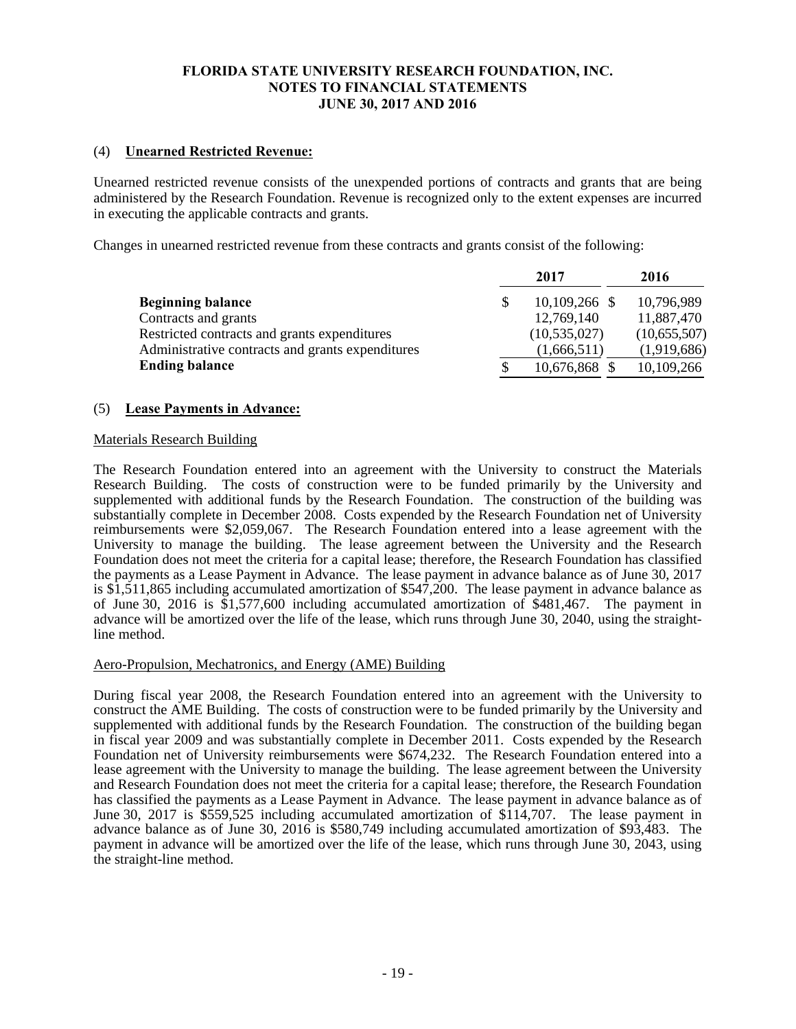#### (4) **Unearned Restricted Revenue:**

Unearned restricted revenue consists of the unexpended portions of contracts and grants that are being administered by the Research Foundation. Revenue is recognized only to the extent expenses are incurred in executing the applicable contracts and grants.

Changes in unearned restricted revenue from these contracts and grants consist of the following:

|                                                  |   | 2017           | 2016         |
|--------------------------------------------------|---|----------------|--------------|
| <b>Beginning balance</b>                         | S | 10,109,266 \$  | 10,796,989   |
| Contracts and grants                             |   | 12,769,140     | 11,887,470   |
| Restricted contracts and grants expenditures     |   | (10, 535, 027) | (10,655,507) |
| Administrative contracts and grants expenditures |   | (1,666,511)    | (1,919,686)  |
| <b>Ending balance</b>                            |   | 10,676,868 \$  | 10,109,266   |

#### (5) **Lease Payments in Advance:**

#### Materials Research Building

The Research Foundation entered into an agreement with the University to construct the Materials Research Building. The costs of construction were to be funded primarily by the University and supplemented with additional funds by the Research Foundation. The construction of the building was substantially complete in December 2008. Costs expended by the Research Foundation net of University reimbursements were \$2,059,067. The Research Foundation entered into a lease agreement with the University to manage the building. The lease agreement between the University and the Research Foundation does not meet the criteria for a capital lease; therefore, the Research Foundation has classified the payments as a Lease Payment in Advance. The lease payment in advance balance as of June 30, 2017 is \$1,511,865 including accumulated amortization of \$547,200. The lease payment in advance balance as of June 30, 2016 is \$1,577,600 including accumulated amortization of \$481,467. The payment in advance will be amortized over the life of the lease, which runs through June 30, 2040, using the straightline method.

# Aero-Propulsion, Mechatronics, and Energy (AME) Building

During fiscal year 2008, the Research Foundation entered into an agreement with the University to construct the AME Building. The costs of construction were to be funded primarily by the University and supplemented with additional funds by the Research Foundation. The construction of the building began in fiscal year 2009 and was substantially complete in December 2011. Costs expended by the Research Foundation net of University reimbursements were \$674,232. The Research Foundation entered into a lease agreement with the University to manage the building. The lease agreement between the University and Research Foundation does not meet the criteria for a capital lease; therefore, the Research Foundation has classified the payments as a Lease Payment in Advance. The lease payment in advance balance as of June 30, 2017 is \$559,525 including accumulated amortization of \$114,707. The lease payment in advance balance as of June 30, 2016 is \$580,749 including accumulated amortization of \$93,483. The payment in advance will be amortized over the life of the lease, which runs through June 30, 2043, using the straight-line method.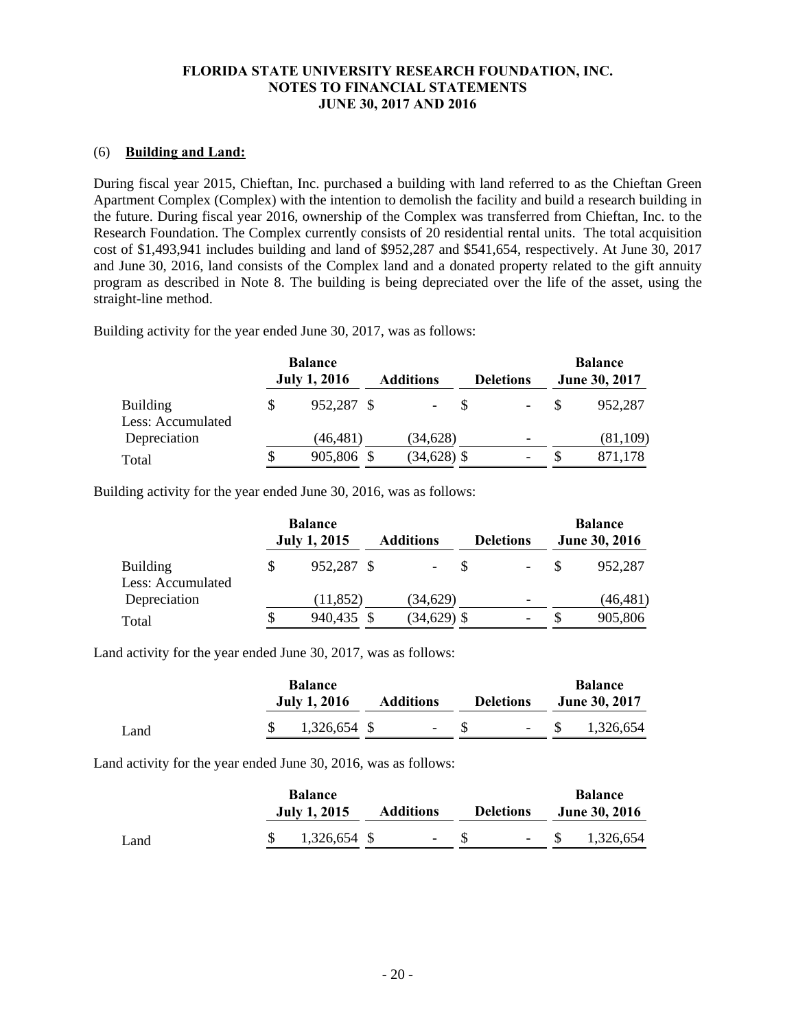# (6) **Building and Land:**

During fiscal year 2015, Chieftan, Inc. purchased a building with land referred to as the Chieftan Green Apartment Complex (Complex) with the intention to demolish the facility and build a research building in the future. During fiscal year 2016, ownership of the Complex was transferred from Chieftan, Inc. to the Research Foundation. The Complex currently consists of 20 residential rental units. The total acquisition cost of \$1,493,941 includes building and land of \$952,287 and \$541,654, respectively. At June 30, 2017 and June 30, 2016, land consists of the Complex land and a donated property related to the gift annuity program as described in Note 8. The building is being depreciated over the life of the asset, using the straight-line method.

Building activity for the year ended June 30, 2017, was as follows:

|                                      | <b>Balance</b><br><b>July 1, 2016</b> | <b>Additions</b> |                          | <b>Deletions</b> |  | <b>Balance</b><br>June 30, 2017 |           |
|--------------------------------------|---------------------------------------|------------------|--------------------------|------------------|--|---------------------------------|-----------|
| <b>Building</b><br>Less: Accumulated | 952,287 \$                            |                  | $\overline{\phantom{a}}$ | <sup>\$</sup>    |  |                                 | 952,287   |
| Depreciation                         | (46,481)                              |                  | (34, 628)                |                  |  |                                 | (81, 109) |
| Total                                | 905,806 \$                            |                  | $(34,628)$ \$            |                  |  |                                 | 871,178   |

Building activity for the year ended June 30, 2016, was as follows:

|                                      | <b>Balance</b><br><b>July 1, 2015</b> |  | <b>Additions</b> |    | <b>Deletions</b> |  | <b>Balance</b><br><b>June 30, 2016</b> |  |
|--------------------------------------|---------------------------------------|--|------------------|----|------------------|--|----------------------------------------|--|
| <b>Building</b><br>Less: Accumulated | 952,287 \$                            |  |                  | .S |                  |  | 952,287                                |  |
| Depreciation                         | (11, 852)                             |  | (34, 629)        |    |                  |  | (46, 481)                              |  |
| Total                                | \$<br>940,435 \$                      |  | $(34,629)$ \$    |    |                  |  | 905,806                                |  |

Land activity for the year ended June 30, 2017, was as follows:

|      | <b>Balance</b><br><b>July 1, 2016</b> |              | Additions |        | <b>Deletions</b> |  | <b>Balance</b><br>June 30, 2017 |                  |
|------|---------------------------------------|--------------|-----------|--------|------------------|--|---------------------------------|------------------|
| Land |                                       | 1,326,654 \$ |           | $-$ \$ |                  |  |                                 | $-$ \$ 1,326,654 |

Land activity for the year ended June 30, 2016, was as follows:

|      | <b>Balance</b><br><b>July 1, 2015</b> | Additions | <b>Deletions</b> | <b>Balance</b><br><b>June 30, 2016</b> |  |
|------|---------------------------------------|-----------|------------------|----------------------------------------|--|
| Land | 1,326,654 \$                          | $-$ \$    |                  | $-$ \$ 1,326,654                       |  |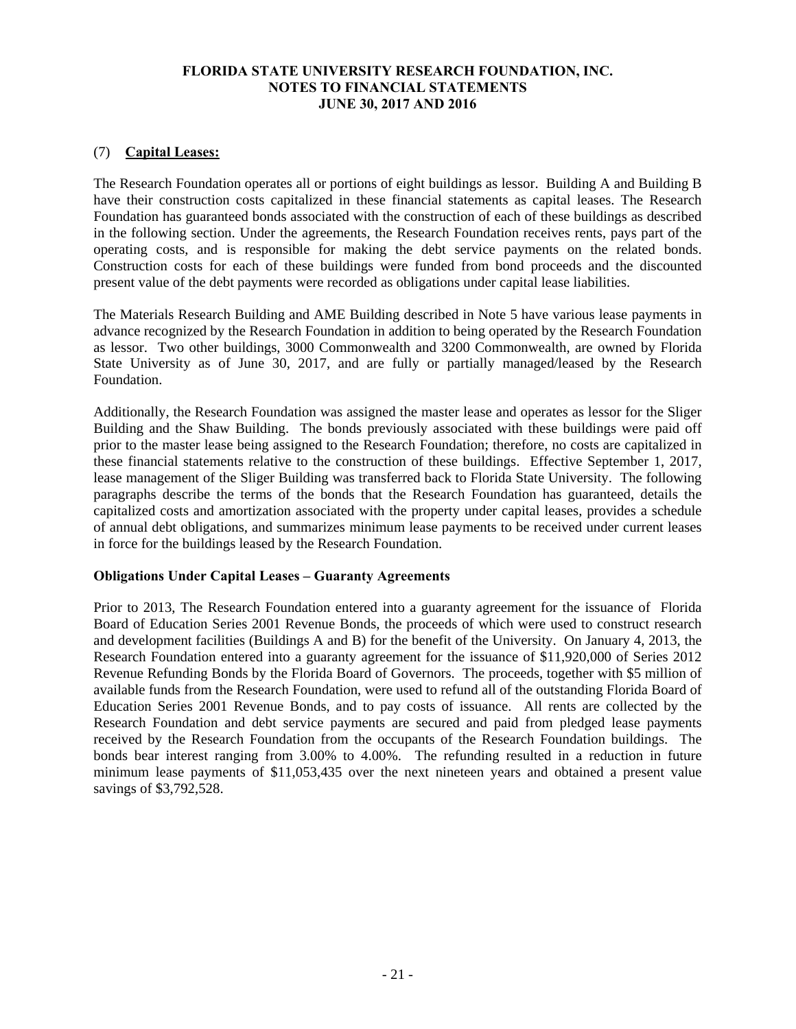# (7) **Capital Leases:**

The Research Foundation operates all or portions of eight buildings as lessor. Building A and Building B have their construction costs capitalized in these financial statements as capital leases. The Research Foundation has guaranteed bonds associated with the construction of each of these buildings as described in the following section. Under the agreements, the Research Foundation receives rents, pays part of the operating costs, and is responsible for making the debt service payments on the related bonds. Construction costs for each of these buildings were funded from bond proceeds and the discounted present value of the debt payments were recorded as obligations under capital lease liabilities.

The Materials Research Building and AME Building described in Note 5 have various lease payments in advance recognized by the Research Foundation in addition to being operated by the Research Foundation as lessor. Two other buildings, 3000 Commonwealth and 3200 Commonwealth, are owned by Florida State University as of June 30, 2017, and are fully or partially managed/leased by the Research Foundation.

Additionally, the Research Foundation was assigned the master lease and operates as lessor for the Sliger Building and the Shaw Building. The bonds previously associated with these buildings were paid off prior to the master lease being assigned to the Research Foundation; therefore, no costs are capitalized in these financial statements relative to the construction of these buildings. Effective September 1, 2017, lease management of the Sliger Building was transferred back to Florida State University. The following paragraphs describe the terms of the bonds that the Research Foundation has guaranteed, details the capitalized costs and amortization associated with the property under capital leases, provides a schedule of annual debt obligations, and summarizes minimum lease payments to be received under current leases in force for the buildings leased by the Research Foundation.

# **Obligations Under Capital Leases – Guaranty Agreements**

Prior to 2013, The Research Foundation entered into a guaranty agreement for the issuance of Florida Board of Education Series 2001 Revenue Bonds, the proceeds of which were used to construct research and development facilities (Buildings A and B) for the benefit of the University. On January 4, 2013, the Research Foundation entered into a guaranty agreement for the issuance of \$11,920,000 of Series 2012 Revenue Refunding Bonds by the Florida Board of Governors. The proceeds, together with \$5 million of available funds from the Research Foundation, were used to refund all of the outstanding Florida Board of Education Series 2001 Revenue Bonds, and to pay costs of issuance. All rents are collected by the Research Foundation and debt service payments are secured and paid from pledged lease payments received by the Research Foundation from the occupants of the Research Foundation buildings. The bonds bear interest ranging from 3.00% to 4.00%. The refunding resulted in a reduction in future minimum lease payments of \$11,053,435 over the next nineteen years and obtained a present value savings of \$3,792,528.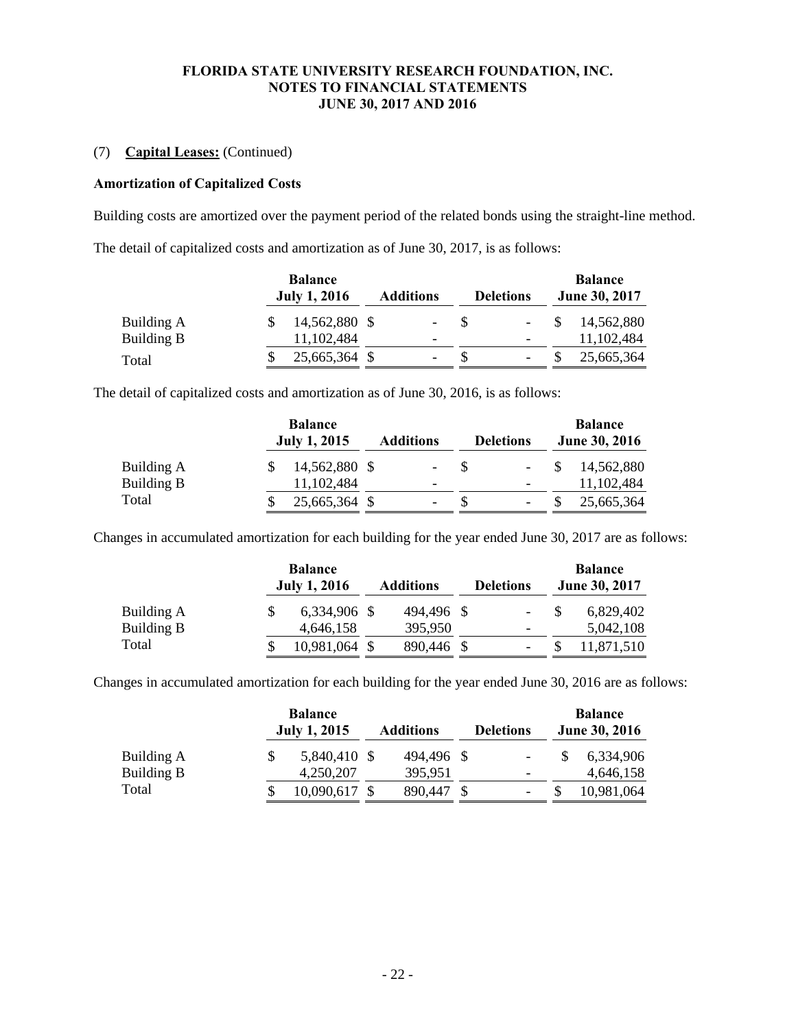# (7) **Capital Leases:** (Continued)

# **Amortization of Capitalized Costs**

Building costs are amortized over the payment period of the related bonds using the straight-line method.

The detail of capitalized costs and amortization as of June 30, 2017, is as follows:

|            | <b>Balance</b><br><b>July 1, 2016</b> | <b>Additions</b> | <b>Deletions</b> | <b>Balance</b><br>June 30, 2017 |
|------------|---------------------------------------|------------------|------------------|---------------------------------|
| Building A | 14,562,880 \$                         | -                |                  | 14,562,880                      |
| Building B | 11,102,484                            | -                |                  | 11,102,484                      |
| Total      | 25,665,364 \$                         |                  |                  | 25,665,364                      |

The detail of capitalized costs and amortization as of June 30, 2016, is as follows:

|            | <b>Balance</b><br><b>July 1, 2015</b> | <b>Additions</b>         | <b>Deletions</b> | <b>Balance</b><br>June 30, 2016 |
|------------|---------------------------------------|--------------------------|------------------|---------------------------------|
| Building A | 14,562,880 \$                         | $\overline{\phantom{a}}$ |                  | 14,562,880                      |
| Building B | 11,102,484                            | $\overline{\phantom{a}}$ |                  | 11,102,484                      |
| Total      | 25,665,364 \$                         | $\overline{\phantom{0}}$ |                  | 25,665,364                      |

Changes in accumulated amortization for each building for the year ended June 30, 2017 are as follows:

|            | <b>Balance</b><br><b>July 1, 2016</b> | <b>Additions</b> | <b>Deletions</b>         | <b>Balance</b><br>June 30, 2017 |
|------------|---------------------------------------|------------------|--------------------------|---------------------------------|
| Building A | 6,334,906 \$                          | 494,496 \$       | $\overline{\phantom{a}}$ | 6,829,402                       |
| Building B | 4,646,158                             | 395,950          | ۰                        | 5,042,108                       |
| Total      | 10,981,064 \$                         | 890,446 \$       | $\overline{\phantom{0}}$ | 11,871,510                      |

Changes in accumulated amortization for each building for the year ended June 30, 2016 are as follows:

|            | <b>Balance</b><br><b>July 1, 2015</b> | <b>Additions</b> | <b>Deletions</b> | <b>Balance</b><br><b>June 30, 2016</b> |
|------------|---------------------------------------|------------------|------------------|----------------------------------------|
| Building A | 5,840,410 \$                          | 494,496 \$       |                  | 6,334,906                              |
| Building B | 4.250.207                             | 395,951          |                  | 4,646,158                              |
| Total      | 10,090,617 \$                         | 890,447          |                  | 10,981,064                             |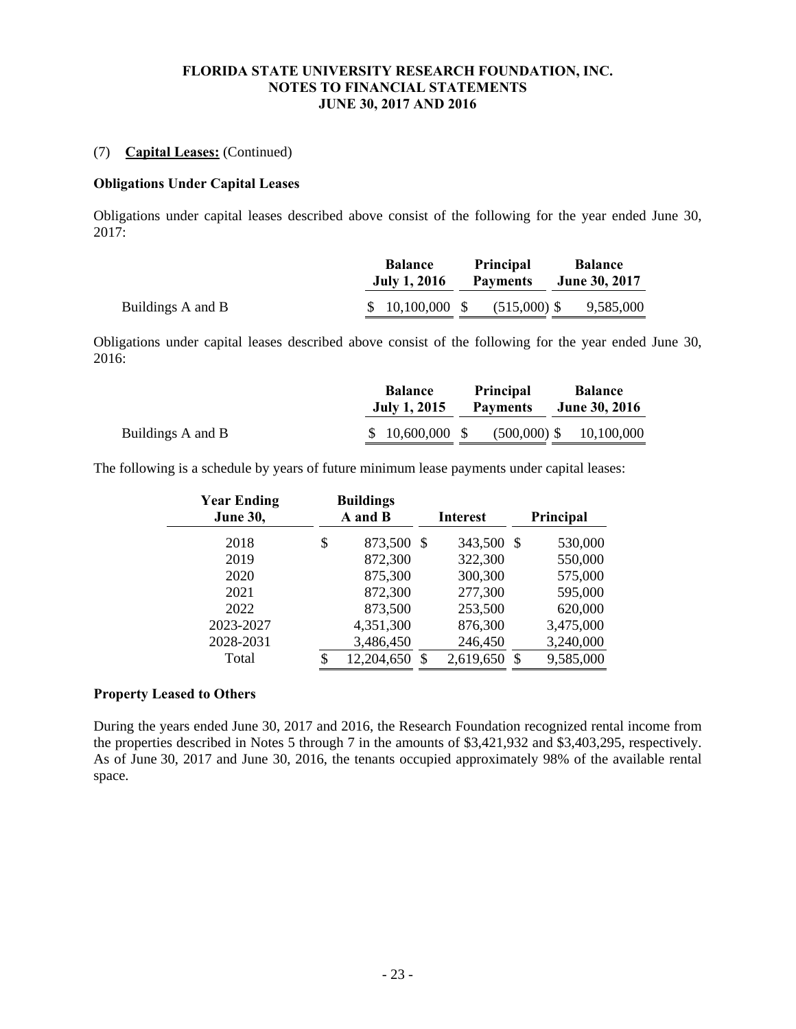# (7) **Capital Leases:** (Continued)

# **Obligations Under Capital Leases**

Obligations under capital leases described above consist of the following for the year ended June 30, 2017:

|                   | <b>Balance</b><br><b>July 1, 2016</b> | Principal<br>Payments | <b>Balance</b><br><b>June 30, 2017</b> |
|-------------------|---------------------------------------|-----------------------|----------------------------------------|
| Buildings A and B | $$10,100,000$ \$                      | $(515,000)$ \$        | 9,585,000                              |

Obligations under capital leases described above consist of the following for the year ended June 30, 2016:

|                   | <b>Balance</b>   | <b>Principal</b> | Balance              |
|-------------------|------------------|------------------|----------------------|
|                   | July 1, 2015     | Payments         | <b>June 30, 2016</b> |
| Buildings A and B | $$10,600,000$ \$ | $(500,000)$ \$   | 10,100,000           |

The following is a schedule by years of future minimum lease payments under capital leases:

| <b>Year Ending</b><br><b>June 30,</b> | <b>Buildings</b><br>A and B |    | <b>Interest</b> |    | Principal |
|---------------------------------------|-----------------------------|----|-----------------|----|-----------|
| 2018                                  | \$<br>873,500               | -S | 343,500         | -S | 530,000   |
| 2019                                  | 872,300                     |    | 322,300         |    | 550,000   |
| 2020                                  | 875,300                     |    | 300,300         |    | 575,000   |
| 2021                                  | 872,300                     |    | 277,300         |    | 595,000   |
| 2022                                  | 873,500                     |    | 253,500         |    | 620,000   |
| 2023-2027                             | 4,351,300                   |    | 876,300         |    | 3,475,000 |
| 2028-2031                             | 3,486,450                   |    | 246,450         |    | 3,240,000 |
| Total                                 | \$<br>12,204,650            | S  | 2,619,650       | \$ | 9,585,000 |

# **Property Leased to Others**

During the years ended June 30, 2017 and 2016, the Research Foundation recognized rental income from the properties described in Notes 5 through 7 in the amounts of \$3,421,932 and \$3,403,295, respectively. As of June 30, 2017 and June 30, 2016, the tenants occupied approximately 98% of the available rental space.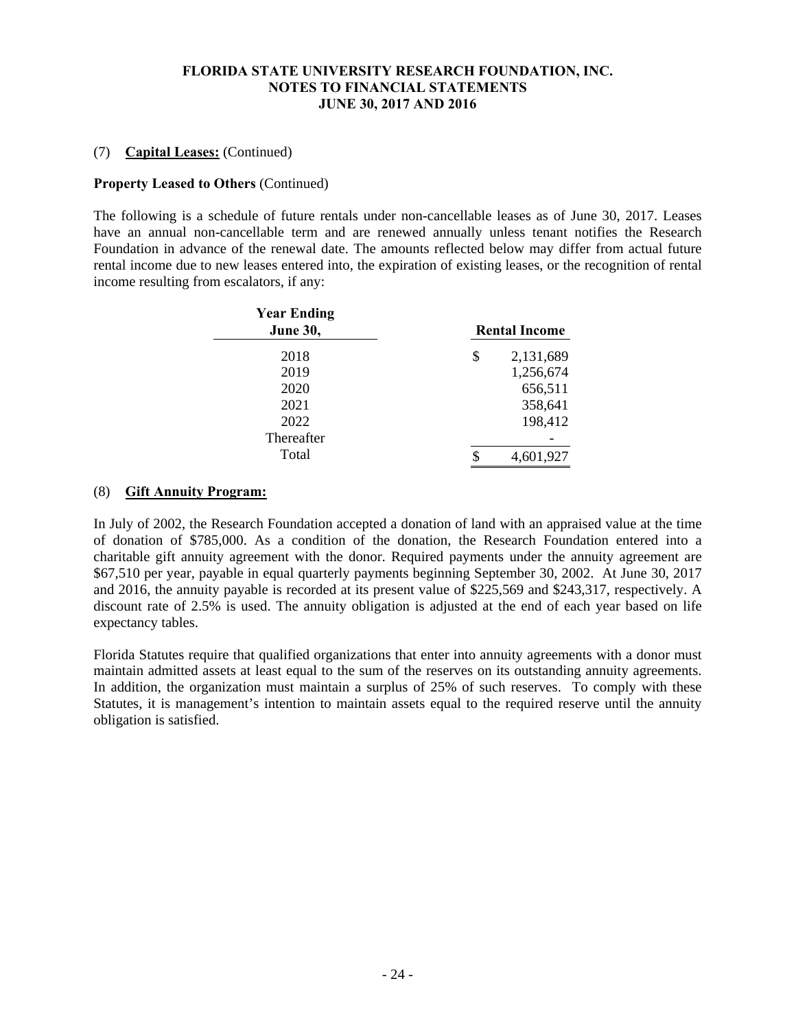# (7) **Capital Leases:** (Continued)

# **Property Leased to Others** (Continued)

The following is a schedule of future rentals under non-cancellable leases as of June 30, 2017. Leases have an annual non-cancellable term and are renewed annually unless tenant notifies the Research Foundation in advance of the renewal date. The amounts reflected below may differ from actual future rental income due to new leases entered into, the expiration of existing leases, or the recognition of rental income resulting from escalators, if any:

| <b>Year Ending</b><br><b>June 30,</b> |    | <b>Rental Income</b> |  |  |
|---------------------------------------|----|----------------------|--|--|
| 2018                                  | \$ | 2,131,689            |  |  |
| 2019                                  |    | 1,256,674            |  |  |
| 2020                                  |    | 656,511              |  |  |
| 2021                                  |    | 358,641              |  |  |
| 2022                                  |    | 198,412              |  |  |
| Thereafter                            |    |                      |  |  |
| Total                                 | S  | 4,601,927            |  |  |

# (8) **Gift Annuity Program:**

In July of 2002, the Research Foundation accepted a donation of land with an appraised value at the time of donation of \$785,000. As a condition of the donation, the Research Foundation entered into a charitable gift annuity agreement with the donor. Required payments under the annuity agreement are \$67,510 per year, payable in equal quarterly payments beginning September 30, 2002. At June 30, 2017 and 2016, the annuity payable is recorded at its present value of \$225,569 and \$243,317, respectively. A discount rate of 2.5% is used. The annuity obligation is adjusted at the end of each year based on life expectancy tables.

Florida Statutes require that qualified organizations that enter into annuity agreements with a donor must maintain admitted assets at least equal to the sum of the reserves on its outstanding annuity agreements. In addition, the organization must maintain a surplus of 25% of such reserves. To comply with these Statutes, it is management's intention to maintain assets equal to the required reserve until the annuity obligation is satisfied.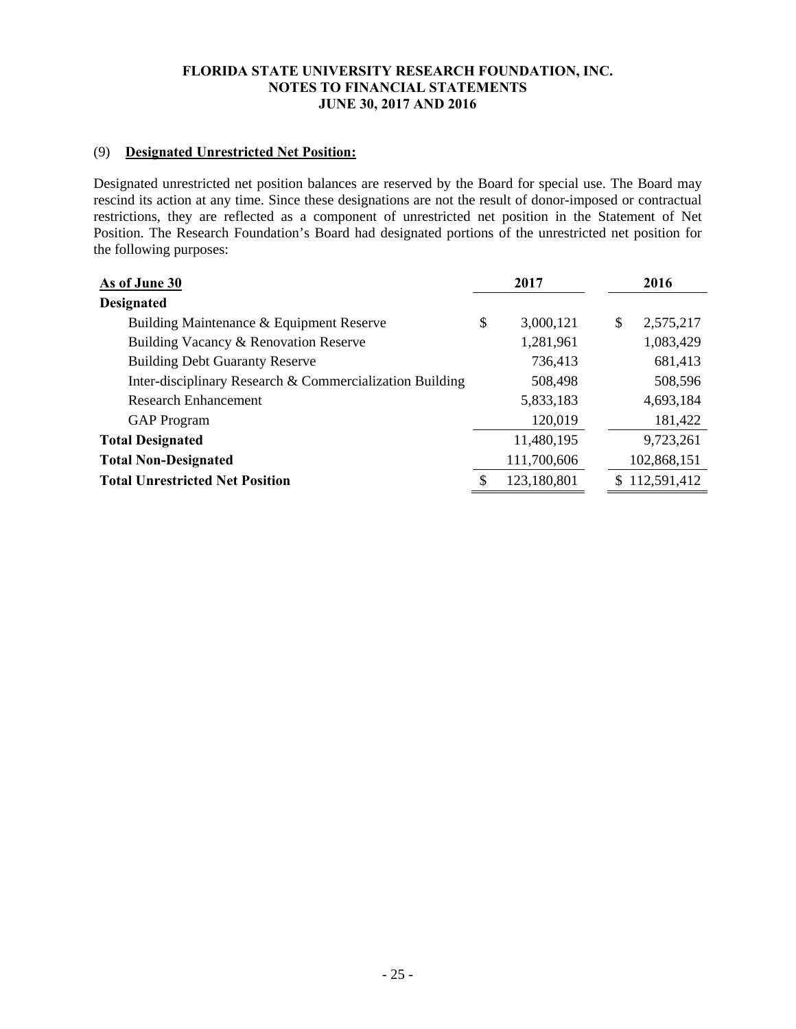# (9) **Designated Unrestricted Net Position:**

Designated unrestricted net position balances are reserved by the Board for special use. The Board may rescind its action at any time. Since these designations are not the result of donor-imposed or contractual restrictions, they are reflected as a component of unrestricted net position in the Statement of Net Position. The Research Foundation's Board had designated portions of the unrestricted net position for the following purposes:

| As of June 30                                            |    | 2017        | 2016               |
|----------------------------------------------------------|----|-------------|--------------------|
| <b>Designated</b>                                        |    |             |                    |
| Building Maintenance & Equipment Reserve                 | \$ | 3,000,121   | \$<br>2,575,217    |
| Building Vacancy & Renovation Reserve                    |    | 1,281,961   | 1,083,429          |
| <b>Building Debt Guaranty Reserve</b>                    |    | 736,413     | 681,413            |
| Inter-disciplinary Research & Commercialization Building |    | 508,498     | 508,596            |
| Research Enhancement                                     |    | 5,833,183   | 4,693,184          |
| <b>GAP</b> Program                                       |    | 120,019     | 181,422            |
| <b>Total Designated</b>                                  |    | 11,480,195  | 9,723,261          |
| <b>Total Non-Designated</b>                              |    | 111,700,606 | 102,868,151        |
| <b>Total Unrestricted Net Position</b>                   | S  | 123,180,801 | 112,591,412<br>\$. |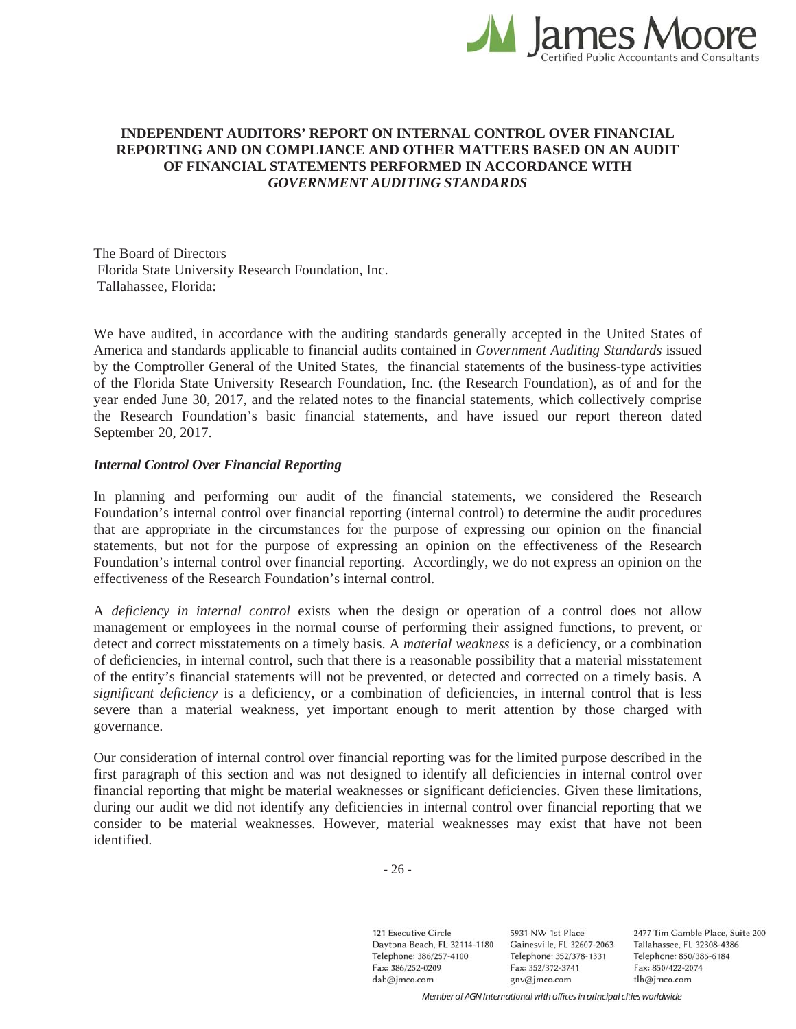![](_page_27_Picture_0.jpeg)

### **INDEPENDENT AUDITORS' REPORT ON INTERNAL CONTROL OVER FINANCIAL REPORTING AND ON COMPLIANCE AND OTHER MATTERS BASED ON AN AUDIT OF FINANCIAL STATEMENTS PERFORMED IN ACCORDANCE WITH**  *GOVERNMENT AUDITING STANDARDS*

The Board of Directors Florida State University Research Foundation, Inc. Tallahassee, Florida:

We have audited, in accordance with the auditing standards generally accepted in the United States of America and standards applicable to financial audits contained in *Government Auditing Standards* issued by the Comptroller General of the United States, the financial statements of the business-type activities of the Florida State University Research Foundation, Inc. (the Research Foundation), as of and for the year ended June 30, 2017, and the related notes to the financial statements, which collectively comprise the Research Foundation's basic financial statements, and have issued our report thereon dated September 20, 2017.

#### *Internal Control Over Financial Reporting*

In planning and performing our audit of the financial statements, we considered the Research Foundation's internal control over financial reporting (internal control) to determine the audit procedures that are appropriate in the circumstances for the purpose of expressing our opinion on the financial statements, but not for the purpose of expressing an opinion on the effectiveness of the Research Foundation's internal control over financial reporting. Accordingly, we do not express an opinion on the effectiveness of the Research Foundation's internal control.

A *deficiency in internal control* exists when the design or operation of a control does not allow management or employees in the normal course of performing their assigned functions, to prevent, or detect and correct misstatements on a timely basis. A *material weakness* is a deficiency, or a combination of deficiencies, in internal control, such that there is a reasonable possibility that a material misstatement of the entity's financial statements will not be prevented, or detected and corrected on a timely basis. A *significant deficiency* is a deficiency, or a combination of deficiencies, in internal control that is less severe than a material weakness, yet important enough to merit attention by those charged with governance.

Our consideration of internal control over financial reporting was for the limited purpose described in the first paragraph of this section and was not designed to identify all deficiencies in internal control over financial reporting that might be material weaknesses or significant deficiencies. Given these limitations, during our audit we did not identify any deficiencies in internal control over financial reporting that we consider to be material weaknesses. However, material weaknesses may exist that have not been identified.

- 26 -

121 Executive Circle Daytona Beach, FL 32114-1180 Telephone: 386/257-4100 Fax: 386/252-0209 dab@imco.com

5931 NW 1st Place Gainesville, FL 32607-2063 Telephone: 352/378-1331 Fax: 352/372-3741 gnv@jmco.com

2477 Tim Gamble Place, Suite 200 Tallahassee, FL 32308-4386 Telephone: 850/386-6184 Fax: 850/422-2074 tlh@imco.com